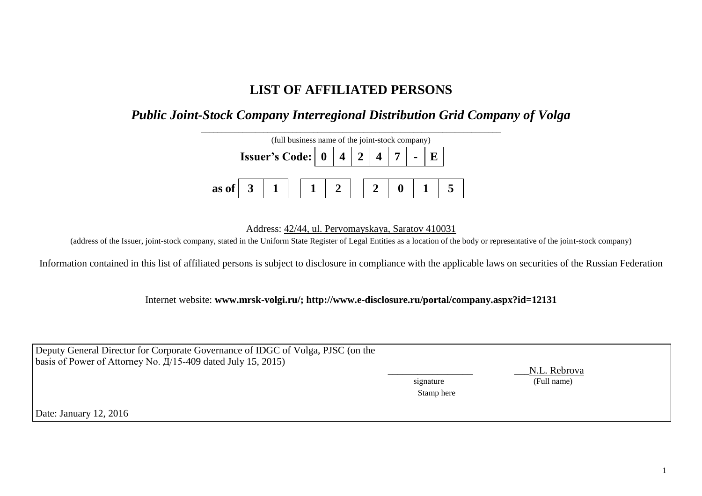## **LIST OF AFFILIATED PERSONS**

## *Public Joint-Stock Company Interregional Distribution Grid Company of Volga*



Address: 42/44, ul. Pervomayskaya, Saratov 410031

(address of the Issuer, joint-stock company, stated in the Uniform State Register of Legal Entities as a location of the body or representative of the joint-stock company)

Information contained in this list of affiliated persons is subject to disclosure in compliance with the applicable laws on securities of the Russian Federation

Internet website: **www.mrsk-volgi.ru/; http://www.e-disclosure.ru/portal/company.aspx?id=12131**

| Deputy General Director for Corporate Governance of IDGC of Volga, PJSC (on the | signature  | N.L. Rebrova |
|---------------------------------------------------------------------------------|------------|--------------|
| basis of Power of Attorney No. $\frac{\pi}{15-409}$ dated July 15, 2015)        | Stamp here | (Full name)  |
| Date: January 12, 2016                                                          |            |              |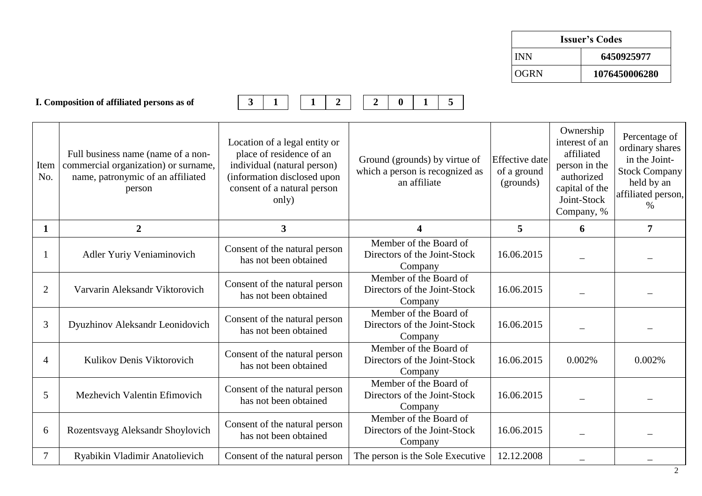| <b>Issuer's Codes</b> |               |  |  |  |
|-----------------------|---------------|--|--|--|
| <b>INN</b>            | 6450925977    |  |  |  |
| <b>OGRN</b>           | 1076450006280 |  |  |  |

|                | I. Composition of affiliated persons as of                                                                                | 3<br>$\boldsymbol{2}$                                                                                                                                           | 5 <sup>5</sup><br>$\overline{2}$<br>0                                            |                                                   |                                                                                                                         |                                                                                                                |
|----------------|---------------------------------------------------------------------------------------------------------------------------|-----------------------------------------------------------------------------------------------------------------------------------------------------------------|----------------------------------------------------------------------------------|---------------------------------------------------|-------------------------------------------------------------------------------------------------------------------------|----------------------------------------------------------------------------------------------------------------|
| Item<br>No.    | Full business name (name of a non-<br>commercial organization) or surname,<br>name, patronymic of an affiliated<br>person | Location of a legal entity or<br>place of residence of an<br>individual (natural person)<br>(information disclosed upon<br>consent of a natural person<br>only) | Ground (grounds) by virtue of<br>which a person is recognized as<br>an affiliate | <b>Effective</b> date<br>of a ground<br>(grounds) | Ownership<br>interest of an<br>affiliated<br>person in the<br>authorized<br>capital of the<br>Joint-Stock<br>Company, % | Percentage of<br>ordinary shares<br>in the Joint-<br>Stock Company<br>held by an<br>affiliated person,<br>$\%$ |
| $\mathbf 1$    | $\overline{2}$                                                                                                            | $\mathbf{3}$                                                                                                                                                    | 4                                                                                | 5                                                 | 6                                                                                                                       | $\overline{7}$                                                                                                 |
|                | Adler Yuriy Veniaminovich                                                                                                 | Consent of the natural person<br>has not been obtained                                                                                                          | Member of the Board of<br>Directors of the Joint-Stock<br>Company                | 16.06.2015                                        |                                                                                                                         |                                                                                                                |
| $\overline{2}$ | Varvarin Aleksandr Viktorovich                                                                                            | Consent of the natural person<br>has not been obtained                                                                                                          | Member of the Board of<br>Directors of the Joint-Stock<br>Company                | 16.06.2015                                        |                                                                                                                         |                                                                                                                |
| 3              | Dyuzhinov Aleksandr Leonidovich                                                                                           | Consent of the natural person<br>has not been obtained                                                                                                          | Member of the Board of<br>Directors of the Joint-Stock<br>Company                | 16.06.2015                                        |                                                                                                                         |                                                                                                                |
| $\overline{4}$ | Kulikov Denis Viktorovich                                                                                                 | Consent of the natural person<br>has not been obtained                                                                                                          | Member of the Board of<br>Directors of the Joint-Stock<br>Company                | 16.06.2015                                        | 0.002%                                                                                                                  | 0.002%                                                                                                         |
| 5              | Mezhevich Valentin Efimovich                                                                                              | Consent of the natural person<br>has not been obtained                                                                                                          | Member of the Board of<br>Directors of the Joint-Stock<br>Company                | 16.06.2015                                        |                                                                                                                         |                                                                                                                |
| 6              | Rozentsvayg Aleksandr Shoylovich                                                                                          | Consent of the natural person<br>has not been obtained                                                                                                          | Member of the Board of<br>Directors of the Joint-Stock<br>Company                | 16.06.2015                                        |                                                                                                                         |                                                                                                                |
| $\overline{7}$ | Ryabikin Vladimir Anatolievich                                                                                            | Consent of the natural person                                                                                                                                   | The person is the Sole Executive                                                 | 12.12.2008                                        |                                                                                                                         |                                                                                                                |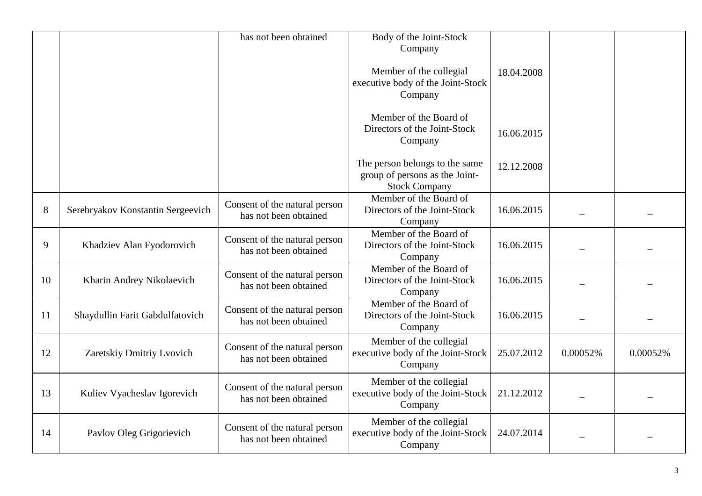|    |                                   | has not been obtained                                  | Body of the Joint-Stock<br>Company                                                       |            |          |          |
|----|-----------------------------------|--------------------------------------------------------|------------------------------------------------------------------------------------------|------------|----------|----------|
|    |                                   |                                                        | Member of the collegial<br>executive body of the Joint-Stock<br>Company                  | 18.04.2008 |          |          |
|    |                                   |                                                        | Member of the Board of<br>Directors of the Joint-Stock<br>Company                        | 16.06.2015 |          |          |
|    |                                   |                                                        | The person belongs to the same<br>group of persons as the Joint-<br><b>Stock Company</b> | 12.12.2008 |          |          |
| 8  | Serebryakov Konstantin Sergeevich | Consent of the natural person<br>has not been obtained | Member of the Board of<br>Directors of the Joint-Stock<br>Company                        | 16.06.2015 |          |          |
| 9  | Khadziev Alan Fyodorovich         | Consent of the natural person<br>has not been obtained | Member of the Board of<br>Directors of the Joint-Stock<br>Company                        | 16.06.2015 |          |          |
| 10 | Kharin Andrey Nikolaevich         | Consent of the natural person<br>has not been obtained | Member of the Board of<br>Directors of the Joint-Stock<br>Company                        | 16.06.2015 |          |          |
| 11 | Shaydullin Farit Gabdulfatovich   | Consent of the natural person<br>has not been obtained | Member of the Board of<br>Directors of the Joint-Stock<br>Company                        | 16.06.2015 |          |          |
| 12 | Zaretskiy Dmitriy Lvovich         | Consent of the natural person<br>has not been obtained | Member of the collegial<br>executive body of the Joint-Stock<br>Company                  | 25.07.2012 | 0.00052% | 0.00052% |
| 13 | Kuliev Vyacheslav Igorevich       | Consent of the natural person<br>has not been obtained | Member of the collegial<br>executive body of the Joint-Stock<br>Company                  | 21.12.2012 |          |          |
| 14 | Pavlov Oleg Grigorievich          | Consent of the natural person<br>has not been obtained | Member of the collegial<br>executive body of the Joint-Stock<br>Company                  | 24.07.2014 |          |          |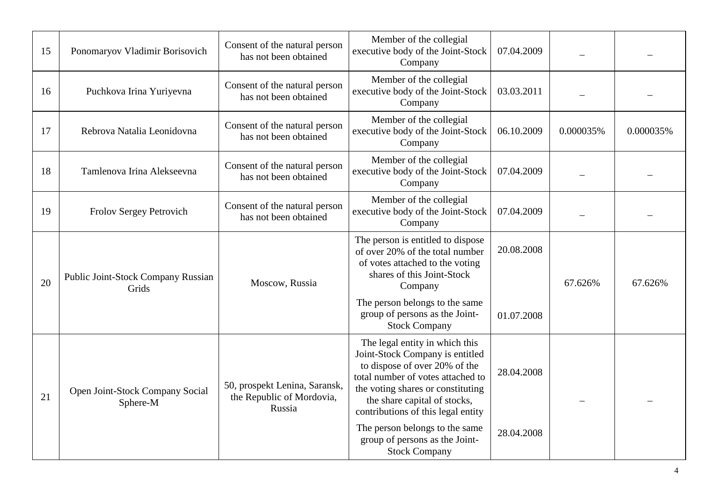| 15 | Ponomaryov Vladimir Borisovich              | Consent of the natural person<br>has not been obtained               | Member of the collegial<br>executive body of the Joint-Stock<br>Company                                                                                                                                                                            | 07.04.2009 |           |           |
|----|---------------------------------------------|----------------------------------------------------------------------|----------------------------------------------------------------------------------------------------------------------------------------------------------------------------------------------------------------------------------------------------|------------|-----------|-----------|
| 16 | Puchkova Irina Yuriyevna                    | Consent of the natural person<br>has not been obtained               | Member of the collegial<br>executive body of the Joint-Stock<br>Company                                                                                                                                                                            | 03.03.2011 |           |           |
| 17 | Rebrova Natalia Leonidovna                  | Consent of the natural person<br>has not been obtained               | Member of the collegial<br>executive body of the Joint-Stock<br>Company                                                                                                                                                                            | 06.10.2009 | 0.000035% | 0.000035% |
| 18 | Tamlenova Irina Alekseevna                  | Consent of the natural person<br>has not been obtained               | Member of the collegial<br>executive body of the Joint-Stock<br>Company                                                                                                                                                                            | 07.04.2009 |           |           |
| 19 | Frolov Sergey Petrovich                     | Consent of the natural person<br>has not been obtained               | Member of the collegial<br>executive body of the Joint-Stock<br>Company                                                                                                                                                                            | 07.04.2009 |           |           |
| 20 | Public Joint-Stock Company Russian<br>Grids | Moscow, Russia                                                       | The person is entitled to dispose<br>of over 20% of the total number<br>of votes attached to the voting<br>shares of this Joint-Stock<br>Company                                                                                                   | 20.08.2008 | 67.626%   | 67.626%   |
|    |                                             |                                                                      | The person belongs to the same<br>group of persons as the Joint-<br><b>Stock Company</b>                                                                                                                                                           | 01.07.2008 |           |           |
| 21 | Open Joint-Stock Company Social<br>Sphere-M | 50, prospekt Lenina, Saransk,<br>the Republic of Mordovia,<br>Russia | The legal entity in which this<br>Joint-Stock Company is entitled<br>to dispose of over 20% of the<br>total number of votes attached to<br>the voting shares or constituting<br>the share capital of stocks,<br>contributions of this legal entity | 28.04.2008 |           |           |
|    |                                             |                                                                      | The person belongs to the same<br>group of persons as the Joint-<br><b>Stock Company</b>                                                                                                                                                           | 28.04.2008 |           |           |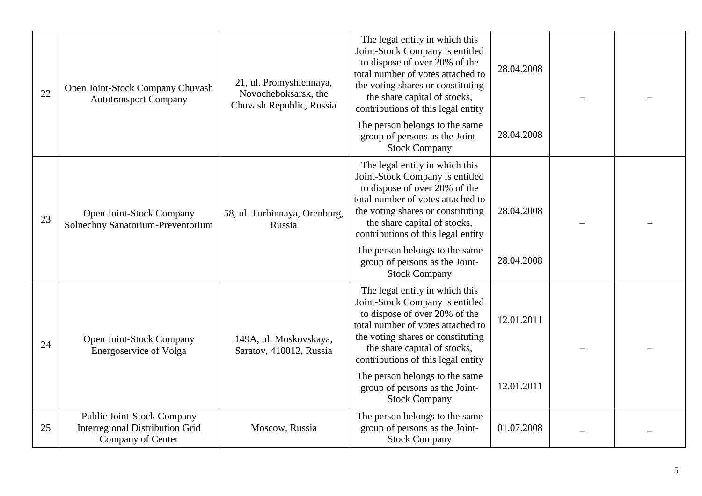| 22 | Open Joint-Stock Company Chuvash<br><b>Autotransport Company</b>                          | 21, ul. Promyshlennaya,<br>Novocheboksarsk, the<br>Chuvash Republic, Russia | The legal entity in which this<br>Joint-Stock Company is entitled<br>to dispose of over 20% of the<br>total number of votes attached to<br>the voting shares or constituting<br>the share capital of stocks,<br>contributions of this legal entity | 28.04.2008 |  |
|----|-------------------------------------------------------------------------------------------|-----------------------------------------------------------------------------|----------------------------------------------------------------------------------------------------------------------------------------------------------------------------------------------------------------------------------------------------|------------|--|
|    |                                                                                           |                                                                             | The person belongs to the same<br>group of persons as the Joint-<br><b>Stock Company</b>                                                                                                                                                           | 28.04.2008 |  |
| 23 | Open Joint-Stock Company<br>Solnechny Sanatorium-Preventorium                             | 58, ul. Turbinnaya, Orenburg,<br>Russia                                     | The legal entity in which this<br>Joint-Stock Company is entitled<br>to dispose of over 20% of the<br>total number of votes attached to<br>the voting shares or constituting<br>the share capital of stocks,<br>contributions of this legal entity | 28.04.2008 |  |
|    |                                                                                           |                                                                             | The person belongs to the same<br>group of persons as the Joint-<br><b>Stock Company</b>                                                                                                                                                           | 28.04.2008 |  |
| 24 | Open Joint-Stock Company<br>Energoservice of Volga                                        | 149A, ul. Moskovskaya,<br>Saratov, 410012, Russia                           | The legal entity in which this<br>Joint-Stock Company is entitled<br>to dispose of over 20% of the<br>total number of votes attached to<br>the voting shares or constituting<br>the share capital of stocks,<br>contributions of this legal entity | 12.01.2011 |  |
|    |                                                                                           |                                                                             | The person belongs to the same<br>group of persons as the Joint-<br><b>Stock Company</b>                                                                                                                                                           | 12.01.2011 |  |
| 25 | Public Joint-Stock Company<br><b>Interregional Distribution Grid</b><br>Company of Center | Moscow, Russia                                                              | The person belongs to the same<br>group of persons as the Joint-<br><b>Stock Company</b>                                                                                                                                                           | 01.07.2008 |  |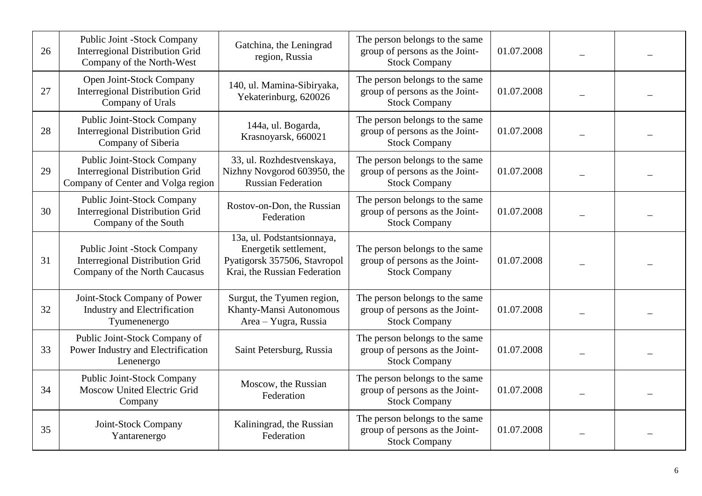| 26 | Public Joint -Stock Company<br><b>Interregional Distribution Grid</b><br>Company of the North-West            | Gatchina, the Leningrad<br>region, Russia                                                                           | The person belongs to the same<br>group of persons as the Joint-<br><b>Stock Company</b> | 01.07.2008 |  |
|----|---------------------------------------------------------------------------------------------------------------|---------------------------------------------------------------------------------------------------------------------|------------------------------------------------------------------------------------------|------------|--|
| 27 | Open Joint-Stock Company<br><b>Interregional Distribution Grid</b><br>Company of Urals                        | 140, ul. Mamina-Sibiryaka,<br>Yekaterinburg, 620026                                                                 | The person belongs to the same<br>group of persons as the Joint-<br><b>Stock Company</b> | 01.07.2008 |  |
| 28 | Public Joint-Stock Company<br><b>Interregional Distribution Grid</b><br>Company of Siberia                    | 144a, ul. Bogarda,<br>Krasnoyarsk, 660021                                                                           | The person belongs to the same<br>group of persons as the Joint-<br><b>Stock Company</b> | 01.07.2008 |  |
| 29 | Public Joint-Stock Company<br><b>Interregional Distribution Grid</b><br>Company of Center and Volga region    | 33, ul. Rozhdestvenskaya,<br>Nizhny Novgorod 603950, the<br><b>Russian Federation</b>                               | The person belongs to the same<br>group of persons as the Joint-<br><b>Stock Company</b> | 01.07.2008 |  |
| 30 | Public Joint-Stock Company<br><b>Interregional Distribution Grid</b><br>Company of the South                  | Rostov-on-Don, the Russian<br>Federation                                                                            | The person belongs to the same<br>group of persons as the Joint-<br><b>Stock Company</b> | 01.07.2008 |  |
| 31 | <b>Public Joint -Stock Company</b><br><b>Interregional Distribution Grid</b><br>Company of the North Caucasus | 13a, ul. Podstantsionnaya,<br>Energetik settlement,<br>Pyatigorsk 357506, Stavropol<br>Krai, the Russian Federation | The person belongs to the same<br>group of persons as the Joint-<br><b>Stock Company</b> | 01.07.2008 |  |
| 32 | Joint-Stock Company of Power<br>Industry and Electrification<br>Tyumenenergo                                  | Surgut, the Tyumen region,<br>Khanty-Mansi Autonomous<br>Area - Yugra, Russia                                       | The person belongs to the same<br>group of persons as the Joint-<br><b>Stock Company</b> | 01.07.2008 |  |
| 33 | Public Joint-Stock Company of<br>Power Industry and Electrification<br>Lenenergo                              | Saint Petersburg, Russia                                                                                            | The person belongs to the same<br>group of persons as the Joint-<br><b>Stock Company</b> | 01.07.2008 |  |
| 34 | <b>Public Joint-Stock Company</b><br>Moscow United Electric Grid<br>Company                                   | Moscow, the Russian<br>Federation                                                                                   | The person belongs to the same<br>group of persons as the Joint-<br><b>Stock Company</b> | 01.07.2008 |  |
| 35 | Joint-Stock Company<br>Yantarenergo                                                                           | Kaliningrad, the Russian<br>Federation                                                                              | The person belongs to the same<br>group of persons as the Joint-<br><b>Stock Company</b> | 01.07.2008 |  |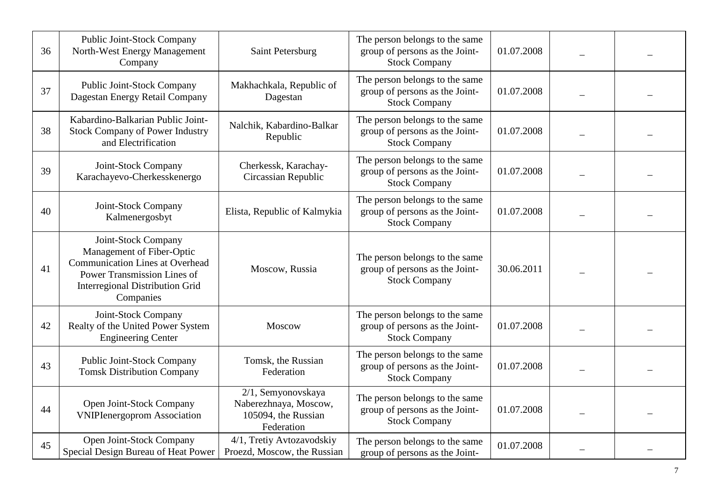| 36 | <b>Public Joint-Stock Company</b><br>North-West Energy Management<br>Company                                                                                                     | Saint Petersburg                                                                 | The person belongs to the same<br>group of persons as the Joint-<br><b>Stock Company</b> | 01.07.2008 |  |
|----|----------------------------------------------------------------------------------------------------------------------------------------------------------------------------------|----------------------------------------------------------------------------------|------------------------------------------------------------------------------------------|------------|--|
| 37 | <b>Public Joint-Stock Company</b><br>Dagestan Energy Retail Company                                                                                                              | Makhachkala, Republic of<br>Dagestan                                             | The person belongs to the same<br>group of persons as the Joint-<br><b>Stock Company</b> | 01.07.2008 |  |
| 38 | Kabardino-Balkarian Public Joint-<br><b>Stock Company of Power Industry</b><br>and Electrification                                                                               | Nalchik, Kabardino-Balkar<br>Republic                                            | The person belongs to the same<br>group of persons as the Joint-<br><b>Stock Company</b> | 01.07.2008 |  |
| 39 | Joint-Stock Company<br>Karachayevo-Cherkesskenergo                                                                                                                               | Cherkessk, Karachay-<br>Circassian Republic                                      | The person belongs to the same<br>group of persons as the Joint-<br><b>Stock Company</b> | 01.07.2008 |  |
| 40 | Joint-Stock Company<br>Kalmenergosbyt                                                                                                                                            | Elista, Republic of Kalmykia                                                     | The person belongs to the same<br>group of persons as the Joint-<br><b>Stock Company</b> | 01.07.2008 |  |
| 41 | Joint-Stock Company<br>Management of Fiber-Optic<br><b>Communication Lines at Overhead</b><br>Power Transmission Lines of<br><b>Interregional Distribution Grid</b><br>Companies | Moscow, Russia                                                                   | The person belongs to the same<br>group of persons as the Joint-<br><b>Stock Company</b> | 30.06.2011 |  |
| 42 | Joint-Stock Company<br>Realty of the United Power System<br><b>Engineering Center</b>                                                                                            | Moscow                                                                           | The person belongs to the same<br>group of persons as the Joint-<br><b>Stock Company</b> | 01.07.2008 |  |
| 43 | <b>Public Joint-Stock Company</b><br><b>Tomsk Distribution Company</b>                                                                                                           | Tomsk, the Russian<br>Federation                                                 | The person belongs to the same<br>group of persons as the Joint-<br><b>Stock Company</b> | 01.07.2008 |  |
| 44 | Open Joint-Stock Company<br><b>VNIPIenergoprom Association</b>                                                                                                                   | 2/1, Semyonovskaya<br>Naberezhnaya, Moscow,<br>105094, the Russian<br>Federation | The person belongs to the same<br>group of persons as the Joint-<br><b>Stock Company</b> | 01.07.2008 |  |
| 45 | Open Joint-Stock Company<br>Special Design Bureau of Heat Power                                                                                                                  | 4/1, Tretiy Avtozavodskiy<br>Proezd, Moscow, the Russian                         | The person belongs to the same<br>group of persons as the Joint-                         | 01.07.2008 |  |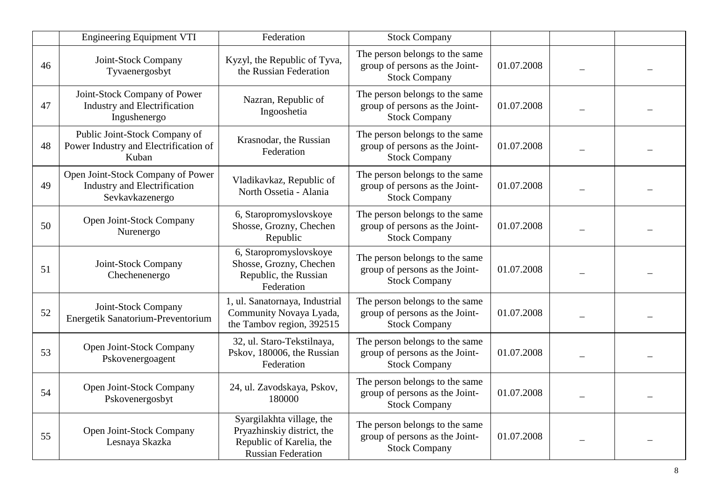|    | <b>Engineering Equipment VTI</b>                                                            | Federation                                                                                                       | <b>Stock Company</b>                                                                     |            |  |
|----|---------------------------------------------------------------------------------------------|------------------------------------------------------------------------------------------------------------------|------------------------------------------------------------------------------------------|------------|--|
| 46 | Joint-Stock Company<br>Tyvaenergosbyt                                                       | Kyzyl, the Republic of Tyva,<br>the Russian Federation                                                           | The person belongs to the same<br>group of persons as the Joint-<br><b>Stock Company</b> | 01.07.2008 |  |
| 47 | Joint-Stock Company of Power<br><b>Industry and Electrification</b><br>Ingushenergo         | Nazran, Republic of<br>Ingooshetia                                                                               | The person belongs to the same<br>group of persons as the Joint-<br><b>Stock Company</b> | 01.07.2008 |  |
| 48 | Public Joint-Stock Company of<br>Power Industry and Electrification of<br>Kuban             | Krasnodar, the Russian<br>Federation                                                                             | The person belongs to the same<br>group of persons as the Joint-<br><b>Stock Company</b> | 01.07.2008 |  |
| 49 | Open Joint-Stock Company of Power<br><b>Industry and Electrification</b><br>Sevkavkazenergo | Vladikavkaz, Republic of<br>North Ossetia - Alania                                                               | The person belongs to the same<br>group of persons as the Joint-<br><b>Stock Company</b> | 01.07.2008 |  |
| 50 | Open Joint-Stock Company<br>Nurenergo                                                       | 6, Staropromyslovskoye<br>Shosse, Grozny, Chechen<br>Republic                                                    | The person belongs to the same<br>group of persons as the Joint-<br><b>Stock Company</b> | 01.07.2008 |  |
| 51 | Joint-Stock Company<br>Chechenenergo                                                        | 6, Staropromyslovskoye<br>Shosse, Grozny, Chechen<br>Republic, the Russian<br>Federation                         | The person belongs to the same<br>group of persons as the Joint-<br><b>Stock Company</b> | 01.07.2008 |  |
| 52 | Joint-Stock Company<br>Energetik Sanatorium-Preventorium                                    | 1, ul. Sanatornaya, Industrial<br>Community Novaya Lyada,<br>the Tambov region, 392515                           | The person belongs to the same<br>group of persons as the Joint-<br><b>Stock Company</b> | 01.07.2008 |  |
| 53 | Open Joint-Stock Company<br>Pskovenergoagent                                                | 32, ul. Staro-Tekstilnaya,<br>Pskov, 180006, the Russian<br>Federation                                           | The person belongs to the same<br>group of persons as the Joint-<br><b>Stock Company</b> | 01.07.2008 |  |
| 54 | Open Joint-Stock Company<br>Pskovenergosbyt                                                 | 24, ul. Zavodskaya, Pskov,<br>180000                                                                             | The person belongs to the same<br>group of persons as the Joint-<br><b>Stock Company</b> | 01.07.2008 |  |
| 55 | Open Joint-Stock Company<br>Lesnaya Skazka                                                  | Syargilakhta village, the<br>Pryazhinskiy district, the<br>Republic of Karelia, the<br><b>Russian Federation</b> | The person belongs to the same<br>group of persons as the Joint-<br><b>Stock Company</b> | 01.07.2008 |  |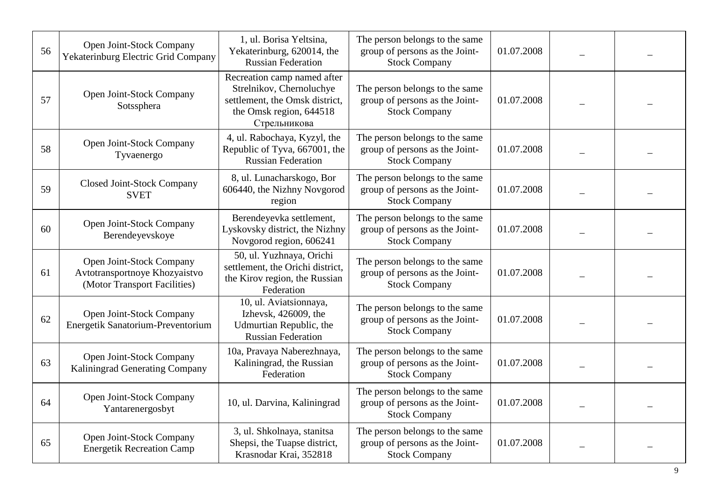| 56 | Open Joint-Stock Company<br>Yekaterinburg Electric Grid Company                           | 1, ul. Borisa Yeltsina,<br>Yekaterinburg, 620014, the<br><b>Russian Federation</b>                                                   | The person belongs to the same<br>group of persons as the Joint-<br><b>Stock Company</b> | 01.07.2008 |  |
|----|-------------------------------------------------------------------------------------------|--------------------------------------------------------------------------------------------------------------------------------------|------------------------------------------------------------------------------------------|------------|--|
| 57 | Open Joint-Stock Company<br>Sotssphera                                                    | Recreation camp named after<br>Strelnikov, Chernoluchye<br>settlement, the Omsk district,<br>the Omsk region, 644518<br>Стрельникова | The person belongs to the same<br>group of persons as the Joint-<br><b>Stock Company</b> | 01.07.2008 |  |
| 58 | Open Joint-Stock Company<br>Tyvaenergo                                                    | 4, ul. Rabochaya, Kyzyl, the<br>Republic of Tyva, 667001, the<br><b>Russian Federation</b>                                           | The person belongs to the same<br>group of persons as the Joint-<br><b>Stock Company</b> | 01.07.2008 |  |
| 59 | <b>Closed Joint-Stock Company</b><br><b>SVET</b>                                          | 8, ul. Lunacharskogo, Bor<br>606440, the Nizhny Novgorod<br>region                                                                   | The person belongs to the same<br>group of persons as the Joint-<br><b>Stock Company</b> | 01.07.2008 |  |
| 60 | Open Joint-Stock Company<br>Berendeyevskoye                                               | Berendeyevka settlement,<br>Lyskovsky district, the Nizhny<br>Novgorod region, 606241                                                | The person belongs to the same<br>group of persons as the Joint-<br><b>Stock Company</b> | 01.07.2008 |  |
| 61 | Open Joint-Stock Company<br>Avtotransportnoye Khozyaistvo<br>(Motor Transport Facilities) | 50, ul. Yuzhnaya, Orichi<br>settlement, the Orichi district,<br>the Kirov region, the Russian<br>Federation                          | The person belongs to the same<br>group of persons as the Joint-<br><b>Stock Company</b> | 01.07.2008 |  |
| 62 | Open Joint-Stock Company<br>Energetik Sanatorium-Preventorium                             | 10, ul. Aviatsionnaya,<br>Izhevsk, 426009, the<br>Udmurtian Republic, the<br><b>Russian Federation</b>                               | The person belongs to the same<br>group of persons as the Joint-<br><b>Stock Company</b> | 01.07.2008 |  |
| 63 | Open Joint-Stock Company<br>Kaliningrad Generating Company                                | 10a, Pravaya Naberezhnaya,<br>Kaliningrad, the Russian<br>Federation                                                                 | The person belongs to the same<br>group of persons as the Joint-<br><b>Stock Company</b> | 01.07.2008 |  |
| 64 | Open Joint-Stock Company<br>Yantarenergosbyt                                              | 10, ul. Darvina, Kaliningrad                                                                                                         | The person belongs to the same<br>group of persons as the Joint-<br><b>Stock Company</b> | 01.07.2008 |  |
| 65 | Open Joint-Stock Company<br><b>Energetik Recreation Camp</b>                              | 3, ul. Shkolnaya, stanitsa<br>Shepsi, the Tuapse district,<br>Krasnodar Krai, 352818                                                 | The person belongs to the same<br>group of persons as the Joint-<br><b>Stock Company</b> | 01.07.2008 |  |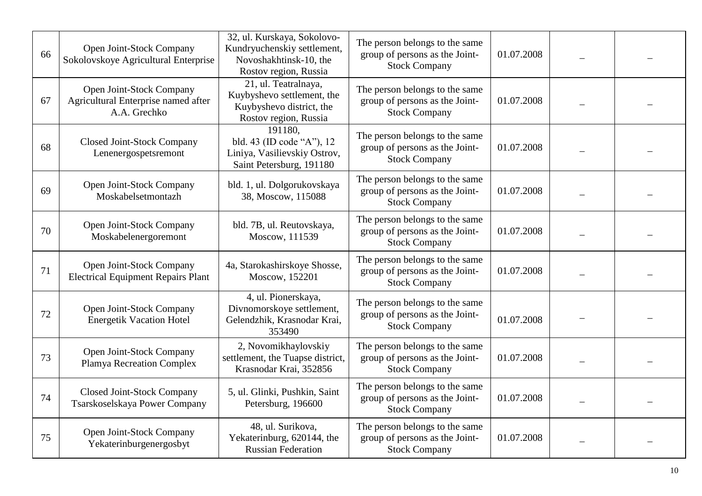| 66 | Open Joint-Stock Company<br>Sokolovskoye Agricultural Enterprise                | 32, ul. Kurskaya, Sokolovo-<br>Kundryuchenskiy settlement,<br>Novoshakhtinsk-10, the<br>Rostov region, Russia | The person belongs to the same<br>group of persons as the Joint-<br><b>Stock Company</b> | 01.07.2008 |  |
|----|---------------------------------------------------------------------------------|---------------------------------------------------------------------------------------------------------------|------------------------------------------------------------------------------------------|------------|--|
| 67 | Open Joint-Stock Company<br>Agricultural Enterprise named after<br>A.A. Grechko | 21, ul. Teatralnaya,<br>Kuybyshevo settlement, the<br>Kuybyshevo district, the<br>Rostov region, Russia       | The person belongs to the same<br>group of persons as the Joint-<br><b>Stock Company</b> | 01.07.2008 |  |
| 68 | <b>Closed Joint-Stock Company</b><br>Lenenergospetsremont                       | 191180,<br>bld. 43 (ID code "A"), 12<br>Liniya, Vasilievskiy Ostrov,<br>Saint Petersburg, 191180              | The person belongs to the same<br>group of persons as the Joint-<br><b>Stock Company</b> | 01.07.2008 |  |
| 69 | Open Joint-Stock Company<br>Moskabelsetmontazh                                  | bld. 1, ul. Dolgorukovskaya<br>38, Moscow, 115088                                                             | The person belongs to the same<br>group of persons as the Joint-<br><b>Stock Company</b> | 01.07.2008 |  |
| 70 | Open Joint-Stock Company<br>Moskabelenergoremont                                | bld. 7B, ul. Reutovskaya,<br>Moscow, 111539                                                                   | The person belongs to the same<br>group of persons as the Joint-<br><b>Stock Company</b> | 01.07.2008 |  |
| 71 | Open Joint-Stock Company<br><b>Electrical Equipment Repairs Plant</b>           | 4a, Starokashirskoye Shosse,<br>Moscow, 152201                                                                | The person belongs to the same<br>group of persons as the Joint-<br><b>Stock Company</b> | 01.07.2008 |  |
| 72 | Open Joint-Stock Company<br><b>Energetik Vacation Hotel</b>                     | 4, ul. Pionerskaya,<br>Divnomorskoye settlement,<br>Gelendzhik, Krasnodar Krai,<br>353490                     | The person belongs to the same<br>group of persons as the Joint-<br><b>Stock Company</b> | 01.07.2008 |  |
| 73 | Open Joint-Stock Company<br><b>Plamya Recreation Complex</b>                    | 2, Novomikhaylovskiy<br>settlement, the Tuapse district,<br>Krasnodar Krai, 352856                            | The person belongs to the same<br>group of persons as the Joint-<br><b>Stock Company</b> | 01.07.2008 |  |
| 74 | Closed Joint-Stock Company<br>Tsarskoselskaya Power Company                     | 5, ul. Glinki, Pushkin, Saint<br>Petersburg, 196600                                                           | The person belongs to the same<br>group of persons as the Joint-<br><b>Stock Company</b> | 01.07.2008 |  |
| 75 | Open Joint-Stock Company<br>Yekaterinburgenergosbyt                             | 48, ul. Surikova,<br>Yekaterinburg, 620144, the<br><b>Russian Federation</b>                                  | The person belongs to the same<br>group of persons as the Joint-<br><b>Stock Company</b> | 01.07.2008 |  |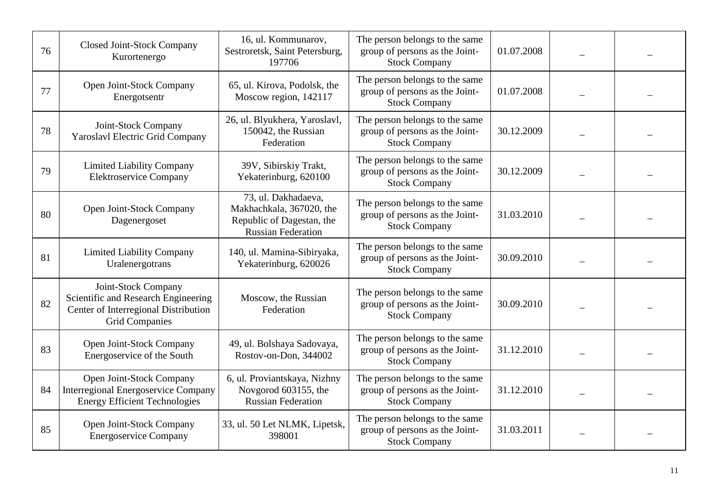| 76 | <b>Closed Joint-Stock Company</b><br>Kurortenergo                                                                           | 16, ul. Kommunarov,<br>Sestroretsk, Saint Petersburg,<br>197706                                           | The person belongs to the same<br>group of persons as the Joint-<br><b>Stock Company</b> | 01.07.2008 |  |
|----|-----------------------------------------------------------------------------------------------------------------------------|-----------------------------------------------------------------------------------------------------------|------------------------------------------------------------------------------------------|------------|--|
| 77 | Open Joint-Stock Company<br>Energotsentr                                                                                    | 65, ul. Kirova, Podolsk, the<br>Moscow region, 142117                                                     | The person belongs to the same<br>group of persons as the Joint-<br><b>Stock Company</b> | 01.07.2008 |  |
| 78 | Joint-Stock Company<br><b>Yaroslavl Electric Grid Company</b>                                                               | 26, ul. Blyukhera, Yaroslavl,<br>150042, the Russian<br>Federation                                        | The person belongs to the same<br>group of persons as the Joint-<br><b>Stock Company</b> | 30.12.2009 |  |
| 79 | <b>Limited Liability Company</b><br><b>Elektroservice Company</b>                                                           | 39V, Sibirskiy Trakt,<br>Yekaterinburg, 620100                                                            | The person belongs to the same<br>group of persons as the Joint-<br><b>Stock Company</b> | 30.12.2009 |  |
| 80 | Open Joint-Stock Company<br>Dagenergoset                                                                                    | 73, ul. Dakhadaeva,<br>Makhachkala, 367020, the<br>Republic of Dagestan, the<br><b>Russian Federation</b> | The person belongs to the same<br>group of persons as the Joint-<br><b>Stock Company</b> | 31.03.2010 |  |
| 81 | <b>Limited Liability Company</b><br>Uralenergotrans                                                                         | 140, ul. Mamina-Sibiryaka,<br>Yekaterinburg, 620026                                                       | The person belongs to the same<br>group of persons as the Joint-<br><b>Stock Company</b> | 30.09.2010 |  |
| 82 | Joint-Stock Company<br>Scientific and Research Engineering<br>Center of Interregional Distribution<br><b>Grid Companies</b> | Moscow, the Russian<br>Federation                                                                         | The person belongs to the same<br>group of persons as the Joint-<br><b>Stock Company</b> | 30.09.2010 |  |
| 83 | Open Joint-Stock Company<br>Energoservice of the South                                                                      | 49, ul. Bolshaya Sadovaya,<br>Rostov-on-Don, 344002                                                       | The person belongs to the same<br>group of persons as the Joint-<br><b>Stock Company</b> | 31.12.2010 |  |
| 84 | Open Joint-Stock Company<br><b>Interregional Energoservice Company</b><br><b>Energy Efficient Technologies</b>              | 6, ul. Proviantskaya, Nizhny<br>Novgorod 603155, the<br><b>Russian Federation</b>                         | The person belongs to the same<br>group of persons as the Joint-<br><b>Stock Company</b> | 31.12.2010 |  |
| 85 | Open Joint-Stock Company<br><b>Energoservice Company</b>                                                                    | 33, ul. 50 Let NLMK, Lipetsk,<br>398001                                                                   | The person belongs to the same<br>group of persons as the Joint-<br><b>Stock Company</b> | 31.03.2011 |  |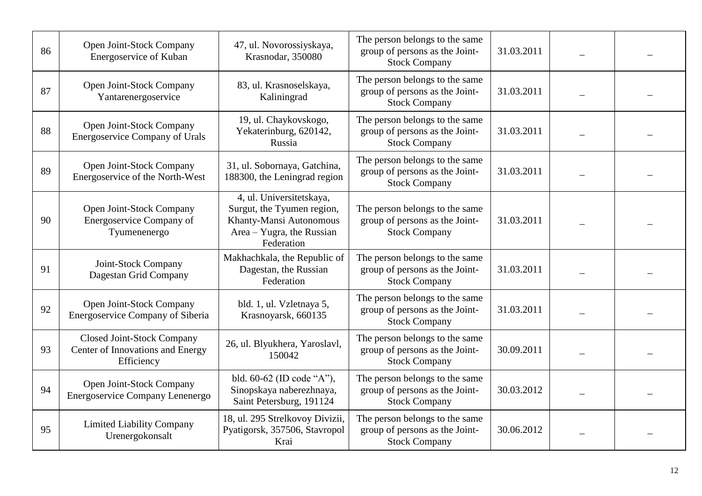| 86 | Open Joint-Stock Company<br>Energoservice of Kuban                           | 47, ul. Novorossiyskaya,<br>Krasnodar, 350080                                                                                | The person belongs to the same<br>group of persons as the Joint-<br><b>Stock Company</b> | 31.03.2011 |  |
|----|------------------------------------------------------------------------------|------------------------------------------------------------------------------------------------------------------------------|------------------------------------------------------------------------------------------|------------|--|
| 87 | Open Joint-Stock Company<br>Yantarenergoservice                              | 83, ul. Krasnoselskaya,<br>Kaliningrad                                                                                       | The person belongs to the same<br>group of persons as the Joint-<br><b>Stock Company</b> | 31.03.2011 |  |
| 88 | Open Joint-Stock Company<br><b>Energoservice Company of Urals</b>            | 19, ul. Chaykovskogo,<br>Yekaterinburg, 620142,<br>Russia                                                                    | The person belongs to the same<br>group of persons as the Joint-<br><b>Stock Company</b> | 31.03.2011 |  |
| 89 | Open Joint-Stock Company<br>Energoservice of the North-West                  | 31, ul. Sobornaya, Gatchina,<br>188300, the Leningrad region                                                                 | The person belongs to the same<br>group of persons as the Joint-<br><b>Stock Company</b> | 31.03.2011 |  |
| 90 | Open Joint-Stock Company<br>Energoservice Company of<br>Tyumenenergo         | 4, ul. Universitetskaya,<br>Surgut, the Tyumen region,<br>Khanty-Mansi Autonomous<br>Area - Yugra, the Russian<br>Federation | The person belongs to the same<br>group of persons as the Joint-<br><b>Stock Company</b> | 31.03.2011 |  |
| 91 | Joint-Stock Company<br>Dagestan Grid Company                                 | Makhachkala, the Republic of<br>Dagestan, the Russian<br>Federation                                                          | The person belongs to the same<br>group of persons as the Joint-<br><b>Stock Company</b> | 31.03.2011 |  |
| 92 | Open Joint-Stock Company<br>Energoservice Company of Siberia                 | bld. 1, ul. Vzletnaya 5,<br>Krasnoyarsk, 660135                                                                              | The person belongs to the same<br>group of persons as the Joint-<br><b>Stock Company</b> | 31.03.2011 |  |
| 93 | Closed Joint-Stock Company<br>Center of Innovations and Energy<br>Efficiency | 26, ul. Blyukhera, Yaroslavl,<br>150042                                                                                      | The person belongs to the same<br>group of persons as the Joint-<br><b>Stock Company</b> | 30.09.2011 |  |
| 94 | Open Joint-Stock Company<br>Energoservice Company Lenenergo                  | bld. 60-62 (ID code "A"),<br>Sinopskaya naberezhnaya,<br>Saint Petersburg, 191124                                            | The person belongs to the same<br>group of persons as the Joint-<br><b>Stock Company</b> | 30.03.2012 |  |
| 95 | <b>Limited Liability Company</b><br>Urenergokonsalt                          | 18, ul. 295 Strelkovoy Divizii,<br>Pyatigorsk, 357506, Stavropol<br>Krai                                                     | The person belongs to the same<br>group of persons as the Joint-<br><b>Stock Company</b> | 30.06.2012 |  |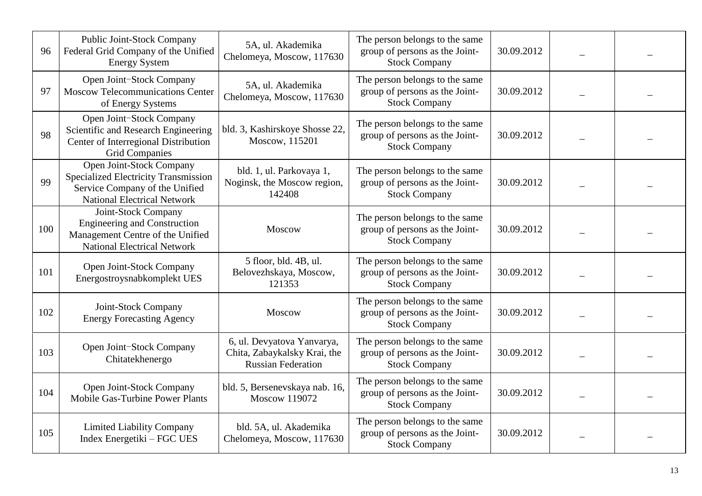| 96  | Public Joint-Stock Company<br>Federal Grid Company of the Unified<br><b>Energy System</b>                                                | 5A, ul. Akademika<br>Chelomeya, Moscow, 117630                                          | The person belongs to the same<br>group of persons as the Joint-<br><b>Stock Company</b> | 30.09.2012 |  |
|-----|------------------------------------------------------------------------------------------------------------------------------------------|-----------------------------------------------------------------------------------------|------------------------------------------------------------------------------------------|------------|--|
| 97  | Open Joint-Stock Company<br><b>Moscow Telecommunications Center</b><br>of Energy Systems                                                 | 5A, ul. Akademika<br>Chelomeya, Moscow, 117630                                          | The person belongs to the same<br>group of persons as the Joint-<br><b>Stock Company</b> | 30.09.2012 |  |
| 98  | Open Joint-Stock Company<br>Scientific and Research Engineering<br>Center of Interregional Distribution<br><b>Grid Companies</b>         | bld. 3, Kashirskoye Shosse 22,<br>Moscow, 115201                                        | The person belongs to the same<br>group of persons as the Joint-<br><b>Stock Company</b> | 30.09.2012 |  |
| 99  | Open Joint-Stock Company<br>Specialized Electricity Transmission<br>Service Company of the Unified<br><b>National Electrical Network</b> | bld. 1, ul. Parkovaya 1,<br>Noginsk, the Moscow region,<br>142408                       | The person belongs to the same<br>group of persons as the Joint-<br><b>Stock Company</b> | 30.09.2012 |  |
| 100 | Joint-Stock Company<br><b>Engineering and Construction</b><br>Management Centre of the Unified<br><b>National Electrical Network</b>     | <b>Moscow</b>                                                                           | The person belongs to the same<br>group of persons as the Joint-<br><b>Stock Company</b> | 30.09.2012 |  |
| 101 | Open Joint-Stock Company<br>Energostroysnabkomplekt UES                                                                                  | 5 floor, bld. 4B, ul.<br>Belovezhskaya, Moscow,<br>121353                               | The person belongs to the same<br>group of persons as the Joint-<br><b>Stock Company</b> | 30.09.2012 |  |
| 102 | Joint-Stock Company<br><b>Energy Forecasting Agency</b>                                                                                  | Moscow                                                                                  | The person belongs to the same<br>group of persons as the Joint-<br><b>Stock Company</b> | 30.09.2012 |  |
| 103 | Open Joint-Stock Company<br>Chitatekhenergo                                                                                              | 6, ul. Devyatova Yanvarya,<br>Chita, Zabaykalsky Krai, the<br><b>Russian Federation</b> | The person belongs to the same<br>group of persons as the Joint-<br><b>Stock Company</b> | 30.09.2012 |  |
| 104 | Open Joint-Stock Company<br><b>Mobile Gas-Turbine Power Plants</b>                                                                       | bld. 5, Bersenevskaya nab. 16,<br>Moscow 119072                                         | The person belongs to the same<br>group of persons as the Joint-<br><b>Stock Company</b> | 30.09.2012 |  |
| 105 | <b>Limited Liability Company</b><br>Index Energetiki – FGC UES                                                                           | bld. 5A, ul. Akademika<br>Chelomeya, Moscow, 117630                                     | The person belongs to the same<br>group of persons as the Joint-<br><b>Stock Company</b> | 30.09.2012 |  |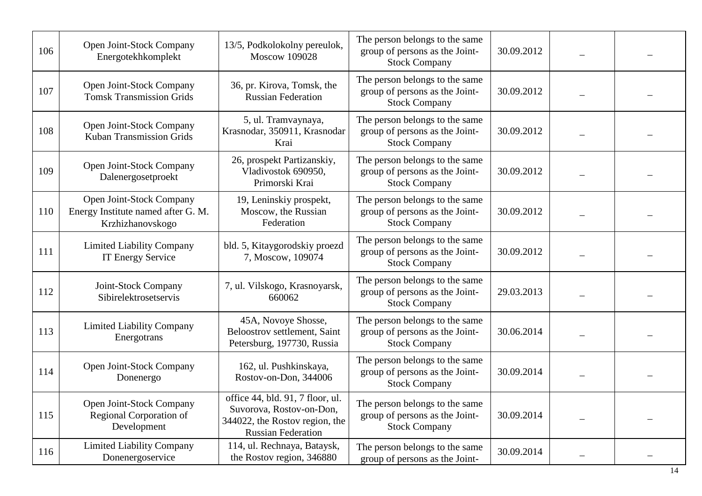| 106 | Open Joint-Stock Company<br>Energotekhkomplekt                                     | 13/5, Podkolokolny pereulok,<br><b>Moscow 109028</b>                                                                        | The person belongs to the same<br>group of persons as the Joint-<br><b>Stock Company</b> | 30.09.2012 |  |
|-----|------------------------------------------------------------------------------------|-----------------------------------------------------------------------------------------------------------------------------|------------------------------------------------------------------------------------------|------------|--|
| 107 | Open Joint-Stock Company<br><b>Tomsk Transmission Grids</b>                        | 36, pr. Kirova, Tomsk, the<br><b>Russian Federation</b>                                                                     | The person belongs to the same<br>group of persons as the Joint-<br><b>Stock Company</b> | 30.09.2012 |  |
| 108 | Open Joint-Stock Company<br><b>Kuban Transmission Grids</b>                        | 5, ul. Tramvaynaya,<br>Krasnodar, 350911, Krasnodar<br>Krai                                                                 | The person belongs to the same<br>group of persons as the Joint-<br><b>Stock Company</b> | 30.09.2012 |  |
| 109 | Open Joint-Stock Company<br>Dalenergosetproekt                                     | 26, prospekt Partizanskiy,<br>Vladivostok 690950,<br>Primorski Krai                                                         | The person belongs to the same<br>group of persons as the Joint-<br><b>Stock Company</b> | 30.09.2012 |  |
| 110 | Open Joint-Stock Company<br>Energy Institute named after G. M.<br>Krzhizhanovskogo | 19, Leninskiy prospekt,<br>Moscow, the Russian<br>Federation                                                                | The person belongs to the same<br>group of persons as the Joint-<br><b>Stock Company</b> | 30.09.2012 |  |
| 111 | <b>Limited Liability Company</b><br>IT Energy Service                              | bld. 5, Kitaygorodskiy proezd<br>7, Moscow, 109074                                                                          | The person belongs to the same<br>group of persons as the Joint-<br><b>Stock Company</b> | 30.09.2012 |  |
| 112 | Joint-Stock Company<br>Sibirelektrosetservis                                       | 7, ul. Vilskogo, Krasnoyarsk,<br>660062                                                                                     | The person belongs to the same<br>group of persons as the Joint-<br><b>Stock Company</b> | 29.03.2013 |  |
| 113 | <b>Limited Liability Company</b><br>Energotrans                                    | 45A, Novoye Shosse,<br>Beloostrov settlement, Saint<br>Petersburg, 197730, Russia                                           | The person belongs to the same<br>group of persons as the Joint-<br><b>Stock Company</b> | 30.06.2014 |  |
| 114 | Open Joint-Stock Company<br>Donenergo                                              | 162, ul. Pushkinskaya,<br>Rostov-on-Don, 344006                                                                             | The person belongs to the same<br>group of persons as the Joint-<br><b>Stock Company</b> | 30.09.2014 |  |
| 115 | Open Joint-Stock Company<br>Regional Corporation of<br>Development                 | office 44, bld. 91, 7 floor, ul.<br>Suvorova, Rostov-on-Don,<br>344022, the Rostov region, the<br><b>Russian Federation</b> | The person belongs to the same<br>group of persons as the Joint-<br><b>Stock Company</b> | 30.09.2014 |  |
| 116 | <b>Limited Liability Company</b><br>Donenergoservice                               | 114, ul. Rechnaya, Bataysk,<br>the Rostov region, 346880                                                                    | The person belongs to the same<br>group of persons as the Joint-                         | 30.09.2014 |  |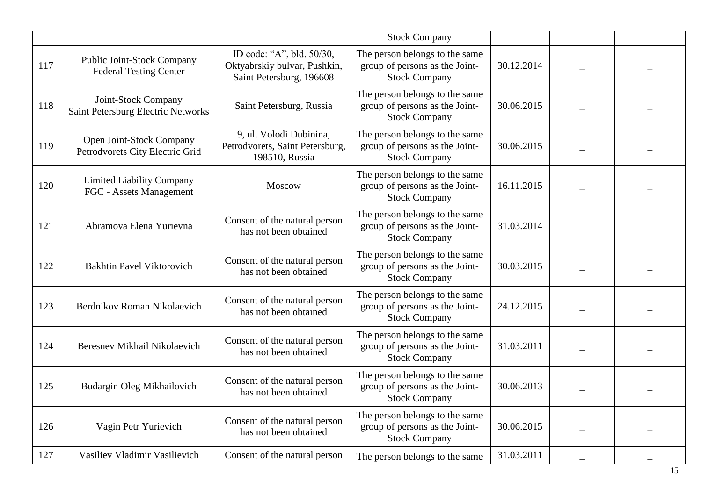|     |                                                             |                                                                                       | <b>Stock Company</b>                                                                     |            |  |
|-----|-------------------------------------------------------------|---------------------------------------------------------------------------------------|------------------------------------------------------------------------------------------|------------|--|
| 117 | Public Joint-Stock Company<br><b>Federal Testing Center</b> | ID code: "A", bld. 50/30,<br>Oktyabrskiy bulvar, Pushkin,<br>Saint Petersburg, 196608 | The person belongs to the same<br>group of persons as the Joint-<br><b>Stock Company</b> | 30.12.2014 |  |
| 118 | Joint-Stock Company<br>Saint Petersburg Electric Networks   | Saint Petersburg, Russia                                                              | The person belongs to the same<br>group of persons as the Joint-<br><b>Stock Company</b> | 30.06.2015 |  |
| 119 | Open Joint-Stock Company<br>Petrodvorets City Electric Grid | 9, ul. Volodi Dubinina,<br>Petrodvorets, Saint Petersburg,<br>198510, Russia          | The person belongs to the same<br>group of persons as the Joint-<br><b>Stock Company</b> | 30.06.2015 |  |
| 120 | <b>Limited Liability Company</b><br>FGC - Assets Management | Moscow                                                                                | The person belongs to the same<br>group of persons as the Joint-<br><b>Stock Company</b> | 16.11.2015 |  |
| 121 | Abramova Elena Yurievna                                     | Consent of the natural person<br>has not been obtained                                | The person belongs to the same<br>group of persons as the Joint-<br><b>Stock Company</b> | 31.03.2014 |  |
| 122 | <b>Bakhtin Pavel Viktorovich</b>                            | Consent of the natural person<br>has not been obtained                                | The person belongs to the same<br>group of persons as the Joint-<br><b>Stock Company</b> | 30.03.2015 |  |
| 123 | Berdnikov Roman Nikolaevich                                 | Consent of the natural person<br>has not been obtained                                | The person belongs to the same<br>group of persons as the Joint-<br><b>Stock Company</b> | 24.12.2015 |  |
| 124 | Beresnev Mikhail Nikolaevich                                | Consent of the natural person<br>has not been obtained                                | The person belongs to the same<br>group of persons as the Joint-<br><b>Stock Company</b> | 31.03.2011 |  |
| 125 | Budargin Oleg Mikhailovich                                  | Consent of the natural person<br>has not been obtained                                | The person belongs to the same<br>group of persons as the Joint-<br><b>Stock Company</b> | 30.06.2013 |  |
| 126 | Vagin Petr Yurievich                                        | Consent of the natural person<br>has not been obtained                                | The person belongs to the same<br>group of persons as the Joint-<br><b>Stock Company</b> | 30.06.2015 |  |
| 127 | Vasiliev Vladimir Vasilievich                               | Consent of the natural person                                                         | The person belongs to the same                                                           | 31.03.2011 |  |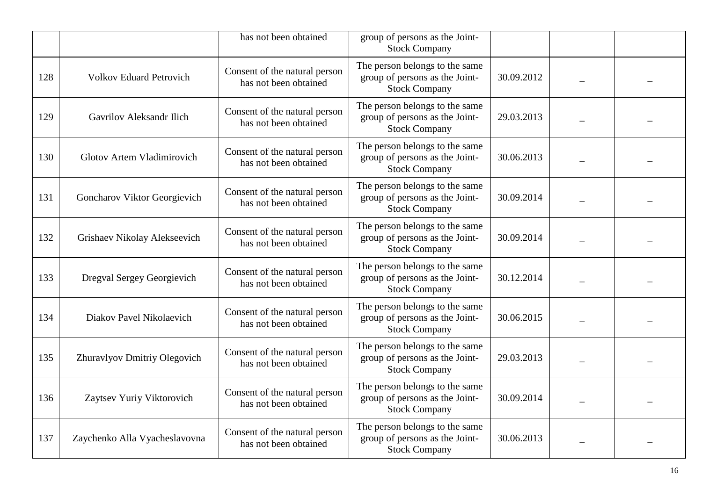|     |                                 | has not been obtained                                  | group of persons as the Joint-<br><b>Stock Company</b>                                   |            |  |
|-----|---------------------------------|--------------------------------------------------------|------------------------------------------------------------------------------------------|------------|--|
| 128 | <b>Volkov Eduard Petrovich</b>  | Consent of the natural person<br>has not been obtained | The person belongs to the same<br>group of persons as the Joint-<br><b>Stock Company</b> | 30.09.2012 |  |
| 129 | <b>Gavrilov Aleksandr Ilich</b> | Consent of the natural person<br>has not been obtained | The person belongs to the same<br>group of persons as the Joint-<br><b>Stock Company</b> | 29.03.2013 |  |
| 130 | Glotov Artem Vladimirovich      | Consent of the natural person<br>has not been obtained | The person belongs to the same<br>group of persons as the Joint-<br><b>Stock Company</b> | 30.06.2013 |  |
| 131 | Goncharov Viktor Georgievich    | Consent of the natural person<br>has not been obtained | The person belongs to the same<br>group of persons as the Joint-<br><b>Stock Company</b> | 30.09.2014 |  |
| 132 | Grishaev Nikolay Alekseevich    | Consent of the natural person<br>has not been obtained | The person belongs to the same<br>group of persons as the Joint-<br><b>Stock Company</b> | 30.09.2014 |  |
| 133 | Dregval Sergey Georgievich      | Consent of the natural person<br>has not been obtained | The person belongs to the same<br>group of persons as the Joint-<br><b>Stock Company</b> | 30.12.2014 |  |
| 134 | Diakov Pavel Nikolaevich        | Consent of the natural person<br>has not been obtained | The person belongs to the same<br>group of persons as the Joint-<br><b>Stock Company</b> | 30.06.2015 |  |
| 135 | Zhuravlyov Dmitriy Olegovich    | Consent of the natural person<br>has not been obtained | The person belongs to the same<br>group of persons as the Joint-<br><b>Stock Company</b> | 29.03.2013 |  |
| 136 | Zaytsev Yuriy Viktorovich       | Consent of the natural person<br>has not been obtained | The person belongs to the same<br>group of persons as the Joint-<br><b>Stock Company</b> | 30.09.2014 |  |
| 137 | Zaychenko Alla Vyacheslavovna   | Consent of the natural person<br>has not been obtained | The person belongs to the same<br>group of persons as the Joint-<br><b>Stock Company</b> | 30.06.2013 |  |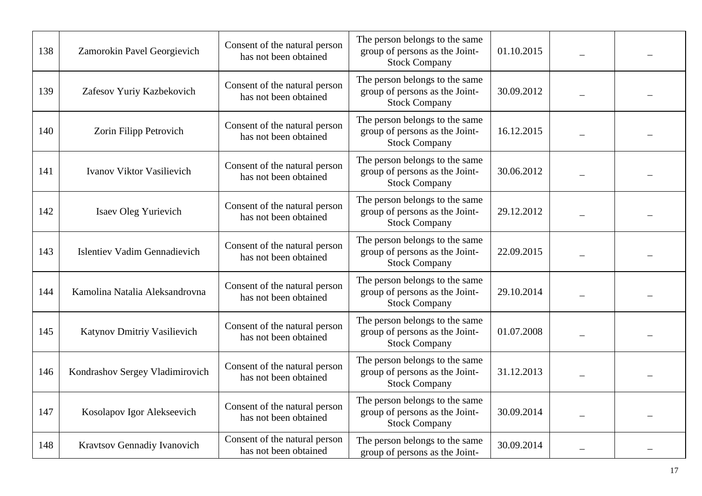| 138 | Zamorokin Pavel Georgievich         | Consent of the natural person<br>has not been obtained | The person belongs to the same<br>group of persons as the Joint-<br><b>Stock Company</b> | 01.10.2015 |  |
|-----|-------------------------------------|--------------------------------------------------------|------------------------------------------------------------------------------------------|------------|--|
| 139 | Zafesov Yuriy Kazbekovich           | Consent of the natural person<br>has not been obtained | The person belongs to the same<br>group of persons as the Joint-<br><b>Stock Company</b> | 30.09.2012 |  |
| 140 | Zorin Filipp Petrovich              | Consent of the natural person<br>has not been obtained | The person belongs to the same<br>group of persons as the Joint-<br><b>Stock Company</b> | 16.12.2015 |  |
| 141 | Ivanov Viktor Vasilievich           | Consent of the natural person<br>has not been obtained | The person belongs to the same<br>group of persons as the Joint-<br><b>Stock Company</b> | 30.06.2012 |  |
| 142 | Isaev Oleg Yurievich                | Consent of the natural person<br>has not been obtained | The person belongs to the same<br>group of persons as the Joint-<br><b>Stock Company</b> | 29.12.2012 |  |
| 143 | <b>Islentiev Vadim Gennadievich</b> | Consent of the natural person<br>has not been obtained | The person belongs to the same<br>group of persons as the Joint-<br><b>Stock Company</b> | 22.09.2015 |  |
| 144 | Kamolina Natalia Aleksandrovna      | Consent of the natural person<br>has not been obtained | The person belongs to the same<br>group of persons as the Joint-<br><b>Stock Company</b> | 29.10.2014 |  |
| 145 | Katynov Dmitriy Vasilievich         | Consent of the natural person<br>has not been obtained | The person belongs to the same<br>group of persons as the Joint-<br><b>Stock Company</b> | 01.07.2008 |  |
| 146 | Kondrashov Sergey Vladimirovich     | Consent of the natural person<br>has not been obtained | The person belongs to the same<br>group of persons as the Joint-<br><b>Stock Company</b> | 31.12.2013 |  |
| 147 | Kosolapov Igor Alekseevich          | Consent of the natural person<br>has not been obtained | The person belongs to the same<br>group of persons as the Joint-<br><b>Stock Company</b> | 30.09.2014 |  |
| 148 | Kravtsov Gennadiy Ivanovich         | Consent of the natural person<br>has not been obtained | The person belongs to the same<br>group of persons as the Joint-                         | 30.09.2014 |  |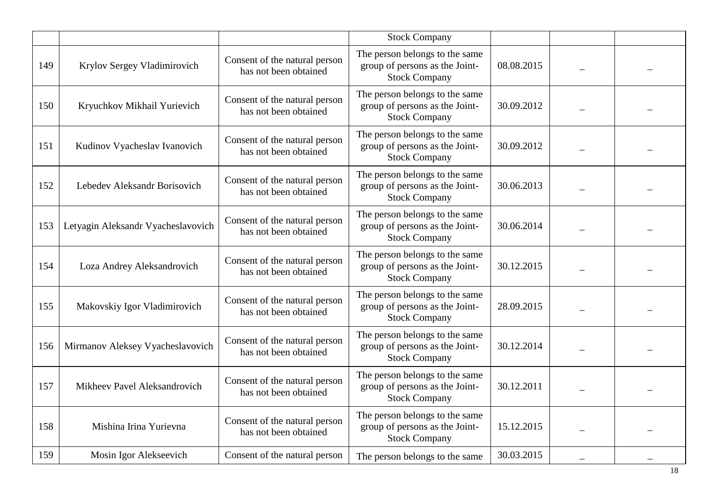|     |                                    |                                                        | <b>Stock Company</b>                                                                     |            |  |
|-----|------------------------------------|--------------------------------------------------------|------------------------------------------------------------------------------------------|------------|--|
| 149 | Krylov Sergey Vladimirovich        | Consent of the natural person<br>has not been obtained | The person belongs to the same<br>group of persons as the Joint-<br><b>Stock Company</b> | 08.08.2015 |  |
| 150 | Kryuchkov Mikhail Yurievich        | Consent of the natural person<br>has not been obtained | The person belongs to the same<br>group of persons as the Joint-<br><b>Stock Company</b> | 30.09.2012 |  |
| 151 | Kudinov Vyacheslav Ivanovich       | Consent of the natural person<br>has not been obtained | The person belongs to the same<br>group of persons as the Joint-<br><b>Stock Company</b> | 30.09.2012 |  |
| 152 | Lebedev Aleksandr Borisovich       | Consent of the natural person<br>has not been obtained | The person belongs to the same<br>group of persons as the Joint-<br><b>Stock Company</b> | 30.06.2013 |  |
| 153 | Letyagin Aleksandr Vyacheslavovich | Consent of the natural person<br>has not been obtained | The person belongs to the same<br>group of persons as the Joint-<br><b>Stock Company</b> | 30.06.2014 |  |
| 154 | Loza Andrey Aleksandrovich         | Consent of the natural person<br>has not been obtained | The person belongs to the same<br>group of persons as the Joint-<br><b>Stock Company</b> | 30.12.2015 |  |
| 155 | Makovskiy Igor Vladimirovich       | Consent of the natural person<br>has not been obtained | The person belongs to the same<br>group of persons as the Joint-<br><b>Stock Company</b> | 28.09.2015 |  |
| 156 | Mirmanov Aleksey Vyacheslavovich   | Consent of the natural person<br>has not been obtained | The person belongs to the same<br>group of persons as the Joint-<br><b>Stock Company</b> | 30.12.2014 |  |
| 157 | Mikheev Pavel Aleksandrovich       | Consent of the natural person<br>has not been obtained | The person belongs to the same<br>group of persons as the Joint-<br><b>Stock Company</b> | 30.12.2011 |  |
| 158 | Mishina Irina Yurievna             | Consent of the natural person<br>has not been obtained | The person belongs to the same<br>group of persons as the Joint-<br><b>Stock Company</b> | 15.12.2015 |  |
| 159 | Mosin Igor Alekseevich             | Consent of the natural person                          | The person belongs to the same                                                           | 30.03.2015 |  |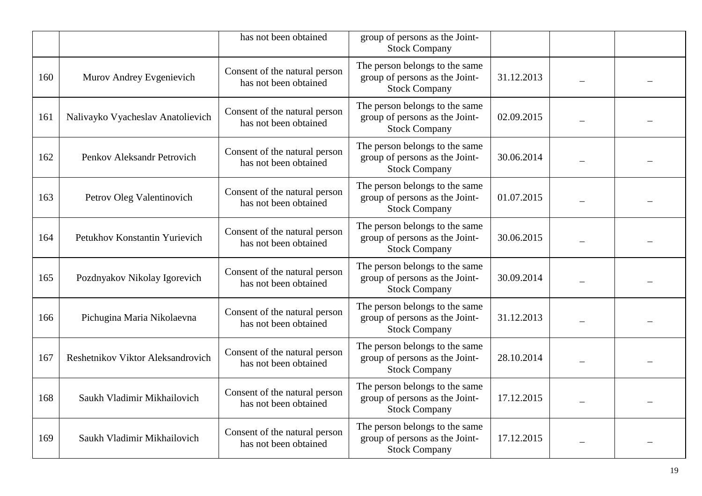|     |                                   | has not been obtained                                  | group of persons as the Joint-<br><b>Stock Company</b>                                   |            |  |
|-----|-----------------------------------|--------------------------------------------------------|------------------------------------------------------------------------------------------|------------|--|
| 160 | Murov Andrey Evgenievich          | Consent of the natural person<br>has not been obtained | The person belongs to the same<br>group of persons as the Joint-<br><b>Stock Company</b> | 31.12.2013 |  |
| 161 | Nalivayko Vyacheslav Anatolievich | Consent of the natural person<br>has not been obtained | The person belongs to the same<br>group of persons as the Joint-<br><b>Stock Company</b> | 02.09.2015 |  |
| 162 | Penkov Aleksandr Petrovich        | Consent of the natural person<br>has not been obtained | The person belongs to the same<br>group of persons as the Joint-<br><b>Stock Company</b> | 30.06.2014 |  |
| 163 | Petrov Oleg Valentinovich         | Consent of the natural person<br>has not been obtained | The person belongs to the same<br>group of persons as the Joint-<br><b>Stock Company</b> | 01.07.2015 |  |
| 164 | Petukhov Konstantin Yurievich     | Consent of the natural person<br>has not been obtained | The person belongs to the same<br>group of persons as the Joint-<br><b>Stock Company</b> | 30.06.2015 |  |
| 165 | Pozdnyakov Nikolay Igorevich      | Consent of the natural person<br>has not been obtained | The person belongs to the same<br>group of persons as the Joint-<br><b>Stock Company</b> | 30.09.2014 |  |
| 166 | Pichugina Maria Nikolaevna        | Consent of the natural person<br>has not been obtained | The person belongs to the same<br>group of persons as the Joint-<br><b>Stock Company</b> | 31.12.2013 |  |
| 167 | Reshetnikov Viktor Aleksandrovich | Consent of the natural person<br>has not been obtained | The person belongs to the same<br>group of persons as the Joint-<br><b>Stock Company</b> | 28.10.2014 |  |
| 168 | Saukh Vladimir Mikhailovich       | Consent of the natural person<br>has not been obtained | The person belongs to the same<br>group of persons as the Joint-<br><b>Stock Company</b> | 17.12.2015 |  |
| 169 | Saukh Vladimir Mikhailovich       | Consent of the natural person<br>has not been obtained | The person belongs to the same<br>group of persons as the Joint-<br><b>Stock Company</b> | 17.12.2015 |  |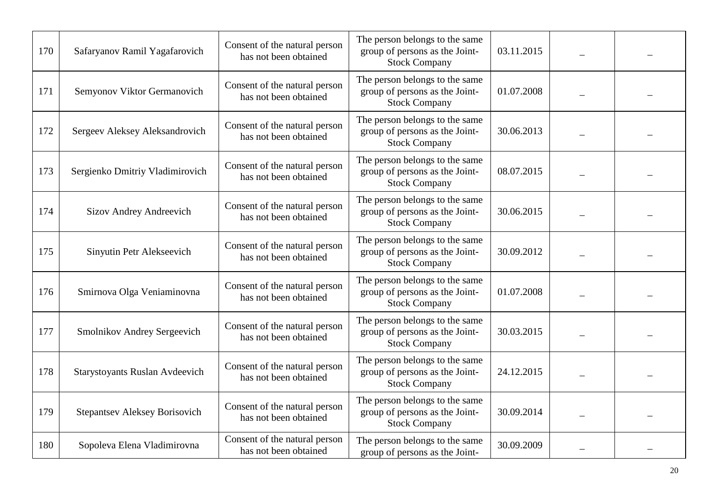| 170 | Safaryanov Ramil Yagafarovich        | Consent of the natural person<br>has not been obtained | The person belongs to the same<br>group of persons as the Joint-<br><b>Stock Company</b> | 03.11.2015 |  |
|-----|--------------------------------------|--------------------------------------------------------|------------------------------------------------------------------------------------------|------------|--|
| 171 | Semyonov Viktor Germanovich          | Consent of the natural person<br>has not been obtained | The person belongs to the same<br>group of persons as the Joint-<br><b>Stock Company</b> | 01.07.2008 |  |
| 172 | Sergeev Aleksey Aleksandrovich       | Consent of the natural person<br>has not been obtained | The person belongs to the same<br>group of persons as the Joint-<br><b>Stock Company</b> | 30.06.2013 |  |
| 173 | Sergienko Dmitriy Vladimirovich      | Consent of the natural person<br>has not been obtained | The person belongs to the same<br>group of persons as the Joint-<br><b>Stock Company</b> | 08.07.2015 |  |
| 174 | Sizov Andrey Andreevich              | Consent of the natural person<br>has not been obtained | The person belongs to the same<br>group of persons as the Joint-<br><b>Stock Company</b> | 30.06.2015 |  |
| 175 | Sinyutin Petr Alekseevich            | Consent of the natural person<br>has not been obtained | The person belongs to the same<br>group of persons as the Joint-<br><b>Stock Company</b> | 30.09.2012 |  |
| 176 | Smirnova Olga Veniaminovna           | Consent of the natural person<br>has not been obtained | The person belongs to the same<br>group of persons as the Joint-<br><b>Stock Company</b> | 01.07.2008 |  |
| 177 | Smolnikov Andrey Sergeevich          | Consent of the natural person<br>has not been obtained | The person belongs to the same<br>group of persons as the Joint-<br><b>Stock Company</b> | 30.03.2015 |  |
| 178 | Starystoyants Ruslan Avdeevich       | Consent of the natural person<br>has not been obtained | The person belongs to the same<br>group of persons as the Joint-<br><b>Stock Company</b> | 24.12.2015 |  |
| 179 | <b>Stepantsev Aleksey Borisovich</b> | Consent of the natural person<br>has not been obtained | The person belongs to the same<br>group of persons as the Joint-<br><b>Stock Company</b> | 30.09.2014 |  |
| 180 | Sopoleva Elena Vladimirovna          | Consent of the natural person<br>has not been obtained | The person belongs to the same<br>group of persons as the Joint-                         | 30.09.2009 |  |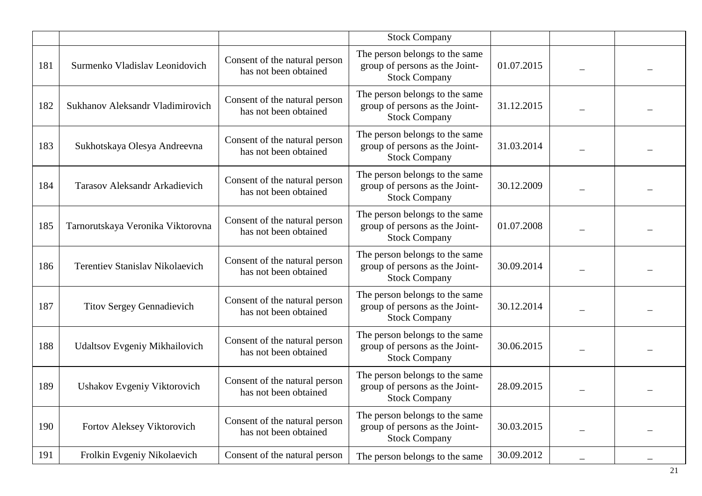|     |                                        |                                                        | <b>Stock Company</b>                                                                     |            |  |
|-----|----------------------------------------|--------------------------------------------------------|------------------------------------------------------------------------------------------|------------|--|
| 181 | Surmenko Vladislav Leonidovich         | Consent of the natural person<br>has not been obtained | The person belongs to the same<br>group of persons as the Joint-<br><b>Stock Company</b> | 01.07.2015 |  |
| 182 | Sukhanov Aleksandr Vladimirovich       | Consent of the natural person<br>has not been obtained | The person belongs to the same<br>group of persons as the Joint-<br><b>Stock Company</b> | 31.12.2015 |  |
| 183 | Sukhotskaya Olesya Andreevna           | Consent of the natural person<br>has not been obtained | The person belongs to the same<br>group of persons as the Joint-<br><b>Stock Company</b> | 31.03.2014 |  |
| 184 | Tarasov Aleksandr Arkadievich          | Consent of the natural person<br>has not been obtained | The person belongs to the same<br>group of persons as the Joint-<br><b>Stock Company</b> | 30.12.2009 |  |
| 185 | Tarnorutskaya Veronika Viktorovna      | Consent of the natural person<br>has not been obtained | The person belongs to the same<br>group of persons as the Joint-<br><b>Stock Company</b> | 01.07.2008 |  |
| 186 | <b>Terentiev Stanislav Nikolaevich</b> | Consent of the natural person<br>has not been obtained | The person belongs to the same<br>group of persons as the Joint-<br><b>Stock Company</b> | 30.09.2014 |  |
| 187 | <b>Titov Sergey Gennadievich</b>       | Consent of the natural person<br>has not been obtained | The person belongs to the same<br>group of persons as the Joint-<br><b>Stock Company</b> | 30.12.2014 |  |
| 188 | <b>Udaltsov Evgeniy Mikhailovich</b>   | Consent of the natural person<br>has not been obtained | The person belongs to the same<br>group of persons as the Joint-<br><b>Stock Company</b> | 30.06.2015 |  |
| 189 | Ushakov Evgeniy Viktorovich            | Consent of the natural person<br>has not been obtained | The person belongs to the same<br>group of persons as the Joint-<br><b>Stock Company</b> | 28.09.2015 |  |
| 190 | Fortov Aleksey Viktorovich             | Consent of the natural person<br>has not been obtained | The person belongs to the same<br>group of persons as the Joint-<br><b>Stock Company</b> | 30.03.2015 |  |
| 191 | Frolkin Evgeniy Nikolaevich            | Consent of the natural person                          | The person belongs to the same                                                           | 30.09.2012 |  |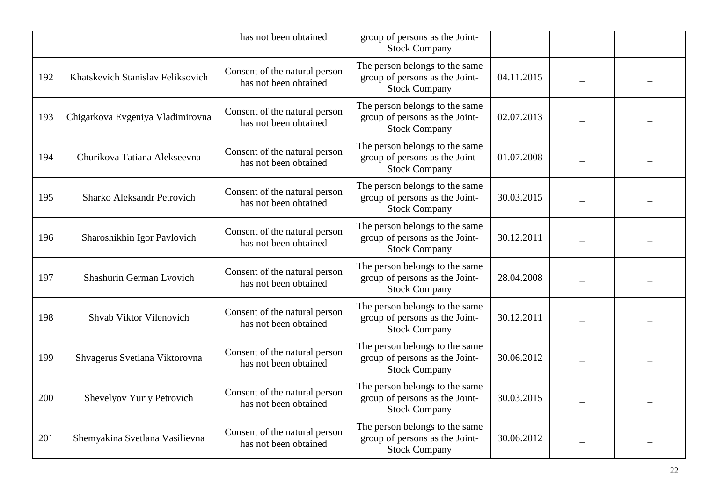|     |                                   | has not been obtained                                  | group of persons as the Joint-<br><b>Stock Company</b>                                   |            |  |
|-----|-----------------------------------|--------------------------------------------------------|------------------------------------------------------------------------------------------|------------|--|
| 192 | Khatskevich Stanislav Feliksovich | Consent of the natural person<br>has not been obtained | The person belongs to the same<br>group of persons as the Joint-<br><b>Stock Company</b> | 04.11.2015 |  |
| 193 | Chigarkova Evgeniya Vladimirovna  | Consent of the natural person<br>has not been obtained | The person belongs to the same<br>group of persons as the Joint-<br><b>Stock Company</b> | 02.07.2013 |  |
| 194 | Churikova Tatiana Alekseevna      | Consent of the natural person<br>has not been obtained | The person belongs to the same<br>group of persons as the Joint-<br><b>Stock Company</b> | 01.07.2008 |  |
| 195 | <b>Sharko Aleksandr Petrovich</b> | Consent of the natural person<br>has not been obtained | The person belongs to the same<br>group of persons as the Joint-<br><b>Stock Company</b> | 30.03.2015 |  |
| 196 | Sharoshikhin Igor Pavlovich       | Consent of the natural person<br>has not been obtained | The person belongs to the same<br>group of persons as the Joint-<br><b>Stock Company</b> | 30.12.2011 |  |
| 197 | Shashurin German Lvovich          | Consent of the natural person<br>has not been obtained | The person belongs to the same<br>group of persons as the Joint-<br><b>Stock Company</b> | 28.04.2008 |  |
| 198 | Shvab Viktor Vilenovich           | Consent of the natural person<br>has not been obtained | The person belongs to the same<br>group of persons as the Joint-<br><b>Stock Company</b> | 30.12.2011 |  |
| 199 | Shvagerus Svetlana Viktorovna     | Consent of the natural person<br>has not been obtained | The person belongs to the same<br>group of persons as the Joint-<br><b>Stock Company</b> | 30.06.2012 |  |
| 200 | Shevelyov Yuriy Petrovich         | Consent of the natural person<br>has not been obtained | The person belongs to the same<br>group of persons as the Joint-<br><b>Stock Company</b> | 30.03.2015 |  |
| 201 | Shemyakina Svetlana Vasilievna    | Consent of the natural person<br>has not been obtained | The person belongs to the same<br>group of persons as the Joint-<br><b>Stock Company</b> | 30.06.2012 |  |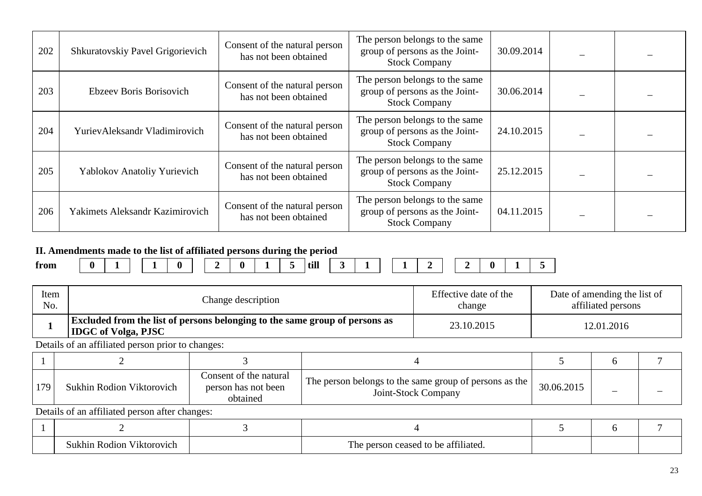| 202 | Shkuratovskiy Pavel Grigorievich | Consent of the natural person<br>has not been obtained | The person belongs to the same<br>group of persons as the Joint-<br><b>Stock Company</b> | 30.09.2014 |  |
|-----|----------------------------------|--------------------------------------------------------|------------------------------------------------------------------------------------------|------------|--|
| 203 | Ebzeev Boris Borisovich          | Consent of the natural person<br>has not been obtained | The person belongs to the same<br>group of persons as the Joint-<br><b>Stock Company</b> | 30.06.2014 |  |
| 204 | YurievAleksandr Vladimirovich    | Consent of the natural person<br>has not been obtained | The person belongs to the same<br>group of persons as the Joint-<br><b>Stock Company</b> | 24.10.2015 |  |
| 205 | Yablokov Anatoliy Yurievich      | Consent of the natural person<br>has not been obtained | The person belongs to the same<br>group of persons as the Joint-<br><b>Stock Company</b> | 25.12.2015 |  |
| 206 | Yakimets Aleksandr Kazimirovich  | Consent of the natural person<br>has not been obtained | The person belongs to the same<br>group of persons as the Joint-<br><b>Stock Company</b> | 04.11.2015 |  |

#### **II. Amendments made to the list of affiliated persons during the period**

|      |          |  |            |  |   | ຼ |      |                          |                          |                          |   |   |  |  |
|------|----------|--|------------|--|---|---|------|--------------------------|--------------------------|--------------------------|---|---|--|--|
| from | $\bf{0}$ |  | $\sqrt{ }$ |  | - |   | till | $\overline{\phantom{a}}$ | $\overline{\phantom{a}}$ | $\overline{\phantom{a}}$ | - | _ |  |  |
|      |          |  |            |  |   |   |      |                          |                          |                          |   |   |  |  |

| Item | Change description                                                                                               | Effective date of the | Date of amending the list of |
|------|------------------------------------------------------------------------------------------------------------------|-----------------------|------------------------------|
| No.  |                                                                                                                  | change                | affiliated persons           |
|      | <b>Excluded from the list of persons belonging to the same group of persons as</b><br><b>IDGC</b> of Volga, PJSC | 23.10.2015            | 12.01.2016                   |

Details of an affiliated person prior to changes:

| 170. | <b>Sukhin Rodion Viktorovich</b> | Consent of the natural<br>person has not been<br>obtained | The person belongs to the same group of persons as the  <br>Joint-Stock Company | 30.06.2015 | - |  |
|------|----------------------------------|-----------------------------------------------------------|---------------------------------------------------------------------------------|------------|---|--|

| i Rodion Viktorovich<br>Sukhin | <b>TIME</b><br>of person ceased to be affiliated.<br>1 ne |  |  |
|--------------------------------|-----------------------------------------------------------|--|--|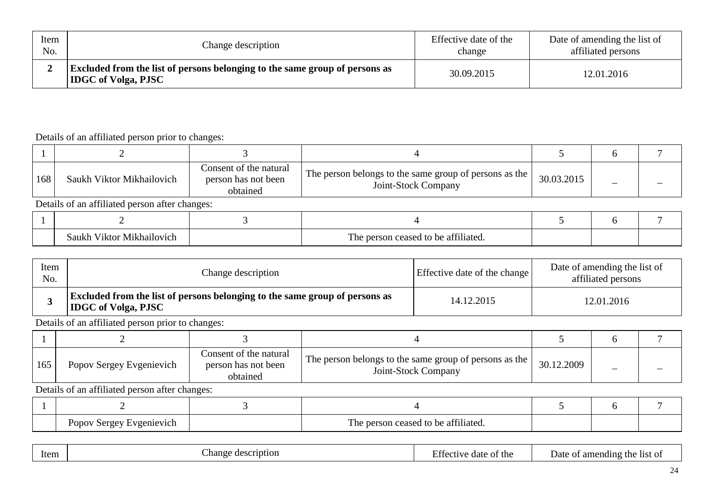| Item | Change description                                                                                               | Effective date of the | Date of amending the list of |
|------|------------------------------------------------------------------------------------------------------------------|-----------------------|------------------------------|
| No.  |                                                                                                                  | change                | affiliated persons           |
|      | <b>Excluded from the list of persons belonging to the same group of persons as</b><br><b>IDGC</b> of Volga, PJSC | 30.09.2015            | 12.01.2016                   |

| 168 | Saukh Viktor Mikhailovich                      | Consent of the natural<br>person has not been<br>obtained | The person belongs to the same group of persons as the  <br>Joint-Stock Company | 30.03.2015 |  |  |  |  |  |  |
|-----|------------------------------------------------|-----------------------------------------------------------|---------------------------------------------------------------------------------|------------|--|--|--|--|--|--|
|     | Details of an affiliated person after changes: |                                                           |                                                                                 |            |  |  |  |  |  |  |
|     |                                                |                                                           |                                                                                 |            |  |  |  |  |  |  |
|     | Saukh Viktor Mikhailovich                      |                                                           | The person ceased to be affiliated.                                             |            |  |  |  |  |  |  |

| Item<br>No. | Change description                                                                                               | Effective date of the change | Date of amending the list of<br>affiliated persons |
|-------------|------------------------------------------------------------------------------------------------------------------|------------------------------|----------------------------------------------------|
|             | <b>Excluded from the list of persons belonging to the same group of persons as</b><br><b>IDGC</b> of Volga, PJSC | 14.12.2015                   | 12.01.2016                                         |

Details of an affiliated person prior to changes:

| 165 | Popov Sergey Evgenievich | Consent of the natural<br>person has not been<br>obtained | The person belongs to the same group of persons as the<br>Joint-Stock Company | 30.12.2009 |  |
|-----|--------------------------|-----------------------------------------------------------|-------------------------------------------------------------------------------|------------|--|

| Popov Sergey Evgenievich |  | Ē<br>The person ceased to be attiliated. |  |  |
|--------------------------|--|------------------------------------------|--|--|

|--|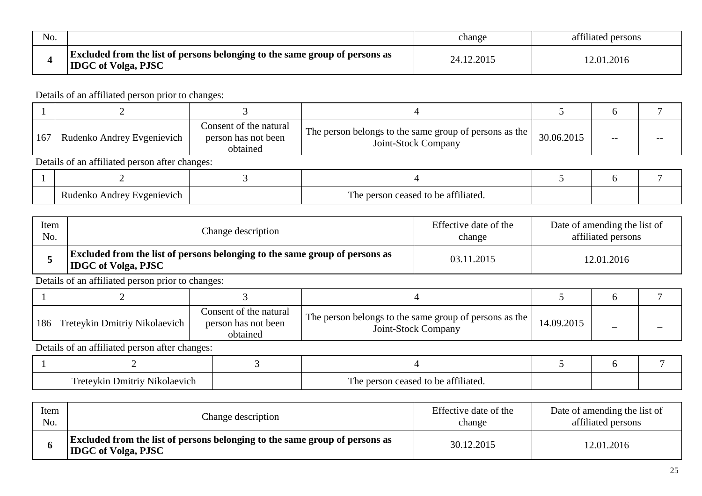| No. |                                                                                                                  | change     | affiliated persons |
|-----|------------------------------------------------------------------------------------------------------------------|------------|--------------------|
|     | <b>Excluded from the list of persons belonging to the same group of persons as</b><br><b>IDGC</b> of Volga, PJSC | 24.12.2015 | 12.01.2016         |

| 167 | Rudenko Andrey Evgenievich                     | Consent of the natural<br>person has not been<br>obtained | The person belongs to the same group of persons as the<br>Joint-Stock Company | 30.06.2015 |  |  |  |  |  |
|-----|------------------------------------------------|-----------------------------------------------------------|-------------------------------------------------------------------------------|------------|--|--|--|--|--|
|     | Details of an affiliated person after changes: |                                                           |                                                                               |            |  |  |  |  |  |
|     |                                                |                                                           |                                                                               |            |  |  |  |  |  |
|     | Rudenko Andrey Evgenievich                     |                                                           | The person ceased to be affiliated.                                           |            |  |  |  |  |  |

| Item | Change description                                                                                               | Effective date of the | Date of amending the list of |
|------|------------------------------------------------------------------------------------------------------------------|-----------------------|------------------------------|
| No.  |                                                                                                                  | change                | affiliated persons           |
|      | <b>Excluded from the list of persons belonging to the same group of persons as</b><br><b>IDGC</b> of Volga, PJSC | 03.11.2015            | 12.01.2016                   |

Details of an affiliated person prior to changes:

| 186   Treteykin Dmitriy Nikolaevich | Consent of the natural<br>person has not been<br>obtained | The person belongs to the same group of persons as the<br>Joint-Stock Company | 14.09.2015 |  |
|-------------------------------------|-----------------------------------------------------------|-------------------------------------------------------------------------------|------------|--|

| $\overline{ }$<br>l Imitriv<br>Nikolaevich | ,,,,,<br>n attiliatad<br>concod<br>$h^{\alpha}$<br>1 ne<br>TΩ<br>~<br>iawu<br>. |  |  |
|--------------------------------------------|---------------------------------------------------------------------------------|--|--|

| Item | Change description                                                                                               | Effective date of the | Date of amending the list of |
|------|------------------------------------------------------------------------------------------------------------------|-----------------------|------------------------------|
| No.  |                                                                                                                  | change                | affiliated persons           |
|      | <b>Excluded from the list of persons belonging to the same group of persons as</b><br><b>IDGC</b> of Volga, PJSC | 30.12.2015            | 12.01.2016                   |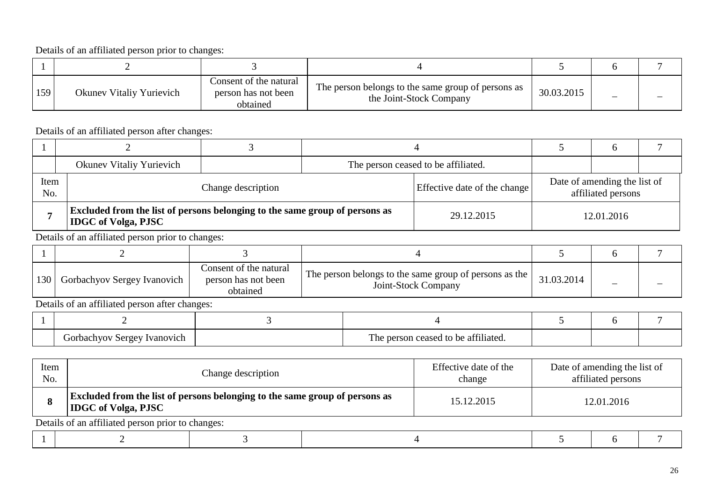| 159 | <b>Okunev Vitaliy Yurievich</b> | Consent of the natural<br>person has not been<br>obtained | The person belongs to the same group of persons as<br>the Joint-Stock Company | 30.03.2015 | - |  |
|-----|---------------------------------|-----------------------------------------------------------|-------------------------------------------------------------------------------|------------|---|--|

Details of an affiliated person after changes:

|             | Okunev Vitaliy Yurievich                                                                                         |  |  | The person ceased to be affiliated. |                                                    |  |
|-------------|------------------------------------------------------------------------------------------------------------------|--|--|-------------------------------------|----------------------------------------------------|--|
| Item<br>No. | Change description                                                                                               |  |  | Effective date of the change        | Date of amending the list of<br>affiliated persons |  |
|             | <b>Excluded from the list of persons belonging to the same group of persons as</b><br><b>IDGC</b> of Volga, PJSC |  |  | 29.12.2015                          | 12.01.2016                                         |  |

Details of an affiliated person prior to changes:

| 130 | Gorbachyov Sergey Ivanovich | Consent of the natural<br>person has not been<br>obtained | The person belongs to the same group of persons as the  <br>Joint-Stock Company | 31.03.2014 |                                             |  |  |  |  |  |  |  |  |
|-----|-----------------------------|-----------------------------------------------------------|---------------------------------------------------------------------------------|------------|---------------------------------------------|--|--|--|--|--|--|--|--|
|     |                             |                                                           |                                                                                 |            | Details of an official names often above as |  |  |  |  |  |  |  |  |

| / Sergey Ivanovich<br>Gorbachyov | The person ceased to be affiliated. |  |  |
|----------------------------------|-------------------------------------|--|--|

| Item<br>No. | Change description                                                                                        |  |  | Effective date of the<br>change | Date of amending the list of<br>affiliated persons |  |  |  |
|-------------|-----------------------------------------------------------------------------------------------------------|--|--|---------------------------------|----------------------------------------------------|--|--|--|
|             | Excluded from the list of persons belonging to the same group of persons as<br><b>IDGC</b> of Volga, PJSC |  |  | 15.12.2015                      | 12.01.2016                                         |  |  |  |
|             | Details of an affiliated person prior to changes:                                                         |  |  |                                 |                                                    |  |  |  |
|             |                                                                                                           |  |  |                                 |                                                    |  |  |  |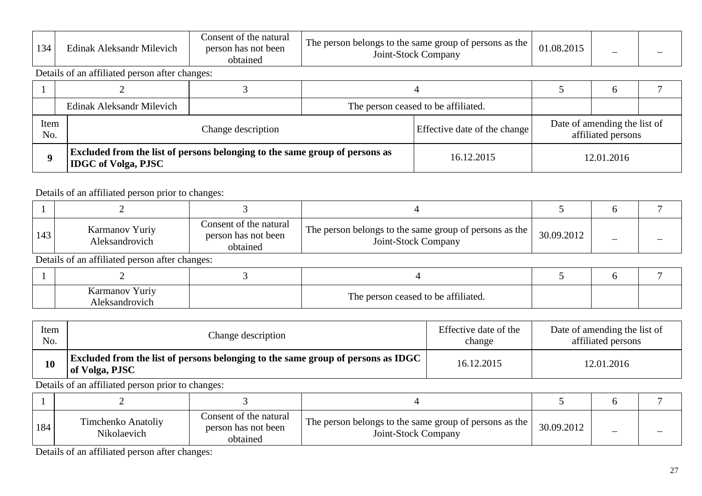| $1^{\circ}$ | .<br>Edinak Aleksandr Milevich | t the natural<br>Consent of<br>person has not been<br>btainec | $\mathbf{r}$<br>The person belongs to the same group of persons as the<br>Joint-Stock C<br>. Company | 2015<br>$^{\sim}$<br>08<br>1.1112.41 | - |  |
|-------------|--------------------------------|---------------------------------------------------------------|------------------------------------------------------------------------------------------------------|--------------------------------------|---|--|
|-------------|--------------------------------|---------------------------------------------------------------|------------------------------------------------------------------------------------------------------|--------------------------------------|---|--|

Details of an affiliated person after changes:

|     | Edinak Aleksandr Milevich                                                                                 |  |  | The person ceased to be affiliated. |            |                                                    |  |
|-----|-----------------------------------------------------------------------------------------------------------|--|--|-------------------------------------|------------|----------------------------------------------------|--|
| No. | Item<br>Change description                                                                                |  |  | Effective date of the change        |            | Date of amending the list of<br>affiliated persons |  |
|     | Excluded from the list of persons belonging to the same group of persons as<br><b>IDGC</b> of Volga, PJSC |  |  | 16.12.2015                          | 12.01.2016 |                                                    |  |

#### Details of an affiliated person prior to changes:

| 143 | Karmanov Yuriy<br>Aleksandrovich               | Consent of the natural<br>person has not been<br>obtained | The person belongs to the same group of persons as the  <br>Joint-Stock Company | 30.09.2012 |  |  |  |  |  |
|-----|------------------------------------------------|-----------------------------------------------------------|---------------------------------------------------------------------------------|------------|--|--|--|--|--|
|     | Details of an affiliated person after changes: |                                                           |                                                                                 |            |  |  |  |  |  |
|     |                                                |                                                           |                                                                                 |            |  |  |  |  |  |

| Karmanov i<br>Yuriy<br>Aleksandrovich | The person ceased to be affiliated. |  |  |
|---------------------------------------|-------------------------------------|--|--|

| Item | Change description                                                                                 | Effective date of the | Date of amending the list of |
|------|----------------------------------------------------------------------------------------------------|-----------------------|------------------------------|
| No.  |                                                                                                    | change                | affiliated persons           |
| 10   | Excluded from the list of persons belonging to the same group of persons as IDGC<br>of Volga, PJSC | 16.12.2015            | 12.01.2016                   |

Details of an affiliated person prior to changes:

| 184 | Timchenko Anatoliy<br>Nikolaevich | Consent of the natural<br>person has not been<br>obtained | The person belongs to the same group of persons as the  <br>Joint-Stock Company | 30.09.2012 | _ |  |
|-----|-----------------------------------|-----------------------------------------------------------|---------------------------------------------------------------------------------|------------|---|--|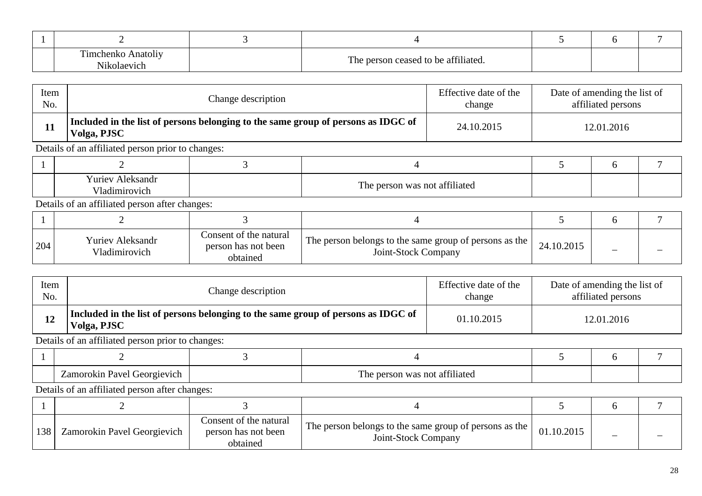| $\sim$<br>henko<br>Anatolıy<br>.<br>olaevict' | 0.01<br>m<br>person ceased to be affiliated.<br><b>TITI</b> |  |  |
|-----------------------------------------------|-------------------------------------------------------------|--|--|

| Item | Change description                                                                               | Effective date of the | Date of amending the list of |
|------|--------------------------------------------------------------------------------------------------|-----------------------|------------------------------|
| No.  |                                                                                                  | change                | affiliated persons           |
|      | Included in the list of persons belonging to the same group of persons as IDGC of<br>Volga, PJSC | 24.10.2015            | 12.01.2016                   |

| <b>Yuriev Aleksandr</b><br>T 71<br>'ladimirovich | The person was not affiliated |  |  |
|--------------------------------------------------|-------------------------------|--|--|

Details of an affiliated person after changes:

| 204 | <b>Yuriev Aleksandr</b><br>Vladimirovich | Consent of the natural<br>person has not been<br>obtained | The person belongs to the same group of persons as the I<br>Joint-Stock Company | 24.10.2015 |  |
|-----|------------------------------------------|-----------------------------------------------------------|---------------------------------------------------------------------------------|------------|--|

| Item | Change description                                                                                       | Effective date of the | Date of amending the list of |
|------|----------------------------------------------------------------------------------------------------------|-----------------------|------------------------------|
| No.  |                                                                                                          | change                | affiliated persons           |
| 12   | $\vert$ Included in the list of persons belonging to the same group of persons as IDGC of<br>Volga, PJSC | 01.10.2015            | 12.01.2016                   |

Details of an affiliated person prior to changes:

| Georgievich<br>Zamorokin Pavel | --<br>was not affiliated<br>1 he<br>person |  |  |
|--------------------------------|--------------------------------------------|--|--|

| 138 | Zamorokin Pavel Georgievich | Consent of the natural<br>person has not been<br>obtained | The person belongs to the same group of persons as the  <br>Joint-Stock Company | 01.10.2015 |  |
|-----|-----------------------------|-----------------------------------------------------------|---------------------------------------------------------------------------------|------------|--|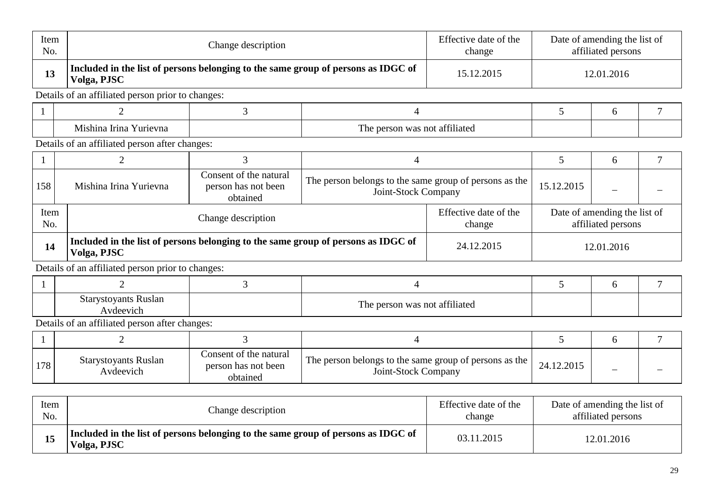| Item<br>No.  |                                                                                                  | Change description                                                                              |                                                                               |                                                    |            | Date of amending the list of<br>affiliated persons |                |
|--------------|--------------------------------------------------------------------------------------------------|-------------------------------------------------------------------------------------------------|-------------------------------------------------------------------------------|----------------------------------------------------|------------|----------------------------------------------------|----------------|
| 13           | Volga, PJSC                                                                                      | Included in the list of persons belonging to the same group of persons as IDGC of<br>15.12.2015 |                                                                               |                                                    |            | 12.01.2016                                         |                |
|              | Details of an affiliated person prior to changes:                                                |                                                                                                 |                                                                               |                                                    |            |                                                    |                |
|              | 2                                                                                                | 3                                                                                               | $\overline{4}$                                                                |                                                    | 5          | 6                                                  | 7              |
|              | Mishina Irina Yurievna                                                                           |                                                                                                 | The person was not affiliated                                                 |                                                    |            |                                                    |                |
|              | Details of an affiliated person after changes:                                                   |                                                                                                 |                                                                               |                                                    |            |                                                    |                |
| 1            | $\overline{2}$                                                                                   | 3                                                                                               | $\overline{4}$                                                                |                                                    | 5          | 6                                                  | $\overline{7}$ |
| 158          | Mishina Irina Yurievna                                                                           | Consent of the natural<br>person has not been<br>obtained                                       | The person belongs to the same group of persons as the<br>Joint-Stock Company |                                                    | 15.12.2015 |                                                    |                |
| Item<br>No.  | Effective date of the<br>Change description<br>change                                            |                                                                                                 |                                                                               | Date of amending the list of<br>affiliated persons |            |                                                    |                |
| 14           | Included in the list of persons belonging to the same group of persons as IDGC of<br>Volga, PJSC |                                                                                                 |                                                                               | 24.12.2015                                         | 12.01.2016 |                                                    |                |
|              | Details of an affiliated person prior to changes:                                                |                                                                                                 |                                                                               |                                                    |            |                                                    |                |
| $\mathbf{1}$ | $\overline{2}$                                                                                   | 3                                                                                               | $\overline{4}$                                                                |                                                    | 5          | 6                                                  | 7              |
|              | <b>Starystoyants Ruslan</b><br>Avdeevich                                                         |                                                                                                 | The person was not affiliated                                                 |                                                    |            |                                                    |                |
|              | Details of an affiliated person after changes:                                                   |                                                                                                 |                                                                               |                                                    |            |                                                    |                |
| $\mathbf{1}$ | $\overline{2}$                                                                                   | $\overline{3}$                                                                                  | $\overline{4}$                                                                |                                                    | 5          | 6                                                  | $\overline{7}$ |
| 178          | <b>Starystoyants Ruslan</b><br>Avdeevich                                                         | Consent of the natural<br>person has not been<br>obtained                                       | The person belongs to the same group of persons as the<br>Joint-Stock Company |                                                    | 24.12.2015 |                                                    |                |
| Item<br>No.  |                                                                                                  | Change description                                                                              |                                                                               | Effective date of the<br>change                    |            | Date of amending the list of<br>affiliated persons |                |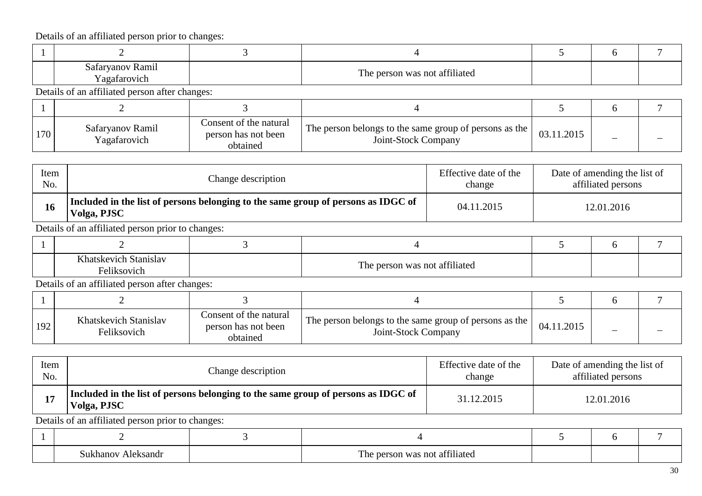| Safaryanov Ramil<br>Yagafarovich               | The person was not affiliated |  |  |
|------------------------------------------------|-------------------------------|--|--|
| Details of an affiliated person after changes: |                               |  |  |

 $1 \quad 2 \quad 1 \quad 3 \quad 1 \quad 4 \quad 5 \quad 6 \quad 7$ 170 Safaryanov Ramil Yagafarovich Consent of the natural person has not been obtained The person belongs to the same group of persons as the ngs to the same group of persons as the  $\begin{array}{|c|c|c|c|c|c|c|c|} \hline 03.11.2015 & & & & \ - & & & \end{array}$ 

| Item | Change description                                                                               | Effective date of the | Date of amending the list of |
|------|--------------------------------------------------------------------------------------------------|-----------------------|------------------------------|
| No.  |                                                                                                  | change                | affiliated persons           |
| 16   | Included in the list of persons belonging to the same group of persons as IDGC of<br>Volga, PJSC | 04.11.2015            | 12.01.2016                   |

Details of an affiliated person prior to changes:

| $T \times 1$<br>Stanislav<br>iatskevich i<br>Feliksovich | The person was not affiliated |  |  |
|----------------------------------------------------------|-------------------------------|--|--|

Details of an affiliated person after changes:

| 192 | Khatskevich Stanislav<br>Feliksovich | Consent of the natural<br>person has not been<br>obtained | The person belongs to the same group of persons as the I<br>Joint-Stock Company | 04.11.2015 |  |
|-----|--------------------------------------|-----------------------------------------------------------|---------------------------------------------------------------------------------|------------|--|

| Item | Change description                                                                               | Effective date of the | Date of amending the list of |
|------|--------------------------------------------------------------------------------------------------|-----------------------|------------------------------|
| No.  |                                                                                                  | change                | affiliated persons           |
|      | Included in the list of persons belonging to the same group of persons as IDGC of<br>Volga, PJSC | 31.12.2015            | 12.01.2016                   |

Details of an affiliated person prior to changes:

| Aleksandr<br>Sukhanov | $\sim$ $\sim$ $\sim$<br>e person was not affiliated<br>The |  |  |
|-----------------------|------------------------------------------------------------|--|--|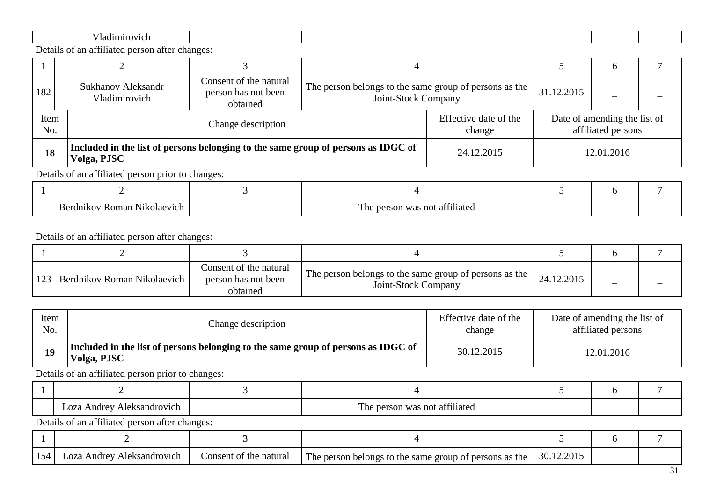Details of an affiliated person after changes:

|             |                                                   |                                                                                   |                                                                               |                                 | <sub>0</sub>                                       |            |  |  |
|-------------|---------------------------------------------------|-----------------------------------------------------------------------------------|-------------------------------------------------------------------------------|---------------------------------|----------------------------------------------------|------------|--|--|
| 182         | Sukhanov Aleksandr<br>Vladimirovich               | Consent of the natural<br>person has not been<br>obtained                         | The person belongs to the same group of persons as the<br>Joint-Stock Company |                                 | 31.12.2015                                         |            |  |  |
| Item<br>No. | Change description                                |                                                                                   |                                                                               | Effective date of the<br>change | Date of amending the list of<br>affiliated persons |            |  |  |
| 18          | Volga, PJSC                                       | Included in the list of persons belonging to the same group of persons as IDGC of |                                                                               |                                 |                                                    | 12.01.2016 |  |  |
|             | Details of an affiliated person prior to changes: |                                                                                   |                                                                               |                                 |                                                    |            |  |  |
|             |                                                   |                                                                                   |                                                                               |                                 |                                                    |            |  |  |

| ılaev<br>nar<br>ור<br>. . | $\sim$ $\sim$<br>1111 А1<br>nc<br>ат.<br>ГΑ<br>ne |  |  |
|---------------------------|---------------------------------------------------|--|--|

| 123   Berdnikov Roman Nikolaevich | Consent of the natural<br>person has not been<br>obtained | The person belongs to the same group of persons as the  <br>Joint-Stock Company | 24.12.2015 |  |
|-----------------------------------|-----------------------------------------------------------|---------------------------------------------------------------------------------|------------|--|

| Item<br>No. |                                                                                                  | Change description     |                                                        |            | Date of amending the list of<br>affiliated persons |              |  |  |
|-------------|--------------------------------------------------------------------------------------------------|------------------------|--------------------------------------------------------|------------|----------------------------------------------------|--------------|--|--|
| 19          | Included in the list of persons belonging to the same group of persons as IDGC of<br>Volga, PJSC |                        |                                                        | 30.12.2015 | 12.01.2016                                         |              |  |  |
|             | Details of an affiliated person prior to changes:                                                |                        |                                                        |            |                                                    |              |  |  |
|             |                                                                                                  |                        |                                                        |            |                                                    | 6            |  |  |
|             | Loza Andrey Aleksandrovich                                                                       |                        | The person was not affiliated                          |            |                                                    |              |  |  |
|             | Details of an affiliated person after changes:                                                   |                        |                                                        |            |                                                    |              |  |  |
|             |                                                                                                  |                        |                                                        |            |                                                    | <sub>6</sub> |  |  |
| 154         | Loza Andrey Aleksandrovich                                                                       | Consent of the natural | The person belongs to the same group of persons as the |            | 30.12.2015                                         |              |  |  |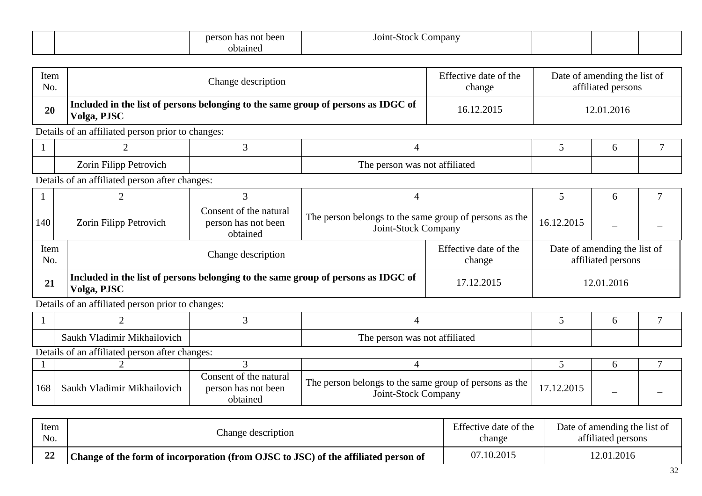|  | t been<br>person<br>not<br>-на | <b>AAI</b><br>Company<br>J01nt-<br>энек |  |  |
|--|--------------------------------|-----------------------------------------|--|--|
|  | btained                        |                                         |  |  |

| Item<br>No. |                                                   | Change description                                        |                                                                                   | Effective date of the<br>change | Date of amending the list of<br>affiliated persons |            |   |
|-------------|---------------------------------------------------|-----------------------------------------------------------|-----------------------------------------------------------------------------------|---------------------------------|----------------------------------------------------|------------|---|
| 20          | Volga, PJSC                                       |                                                           | Included in the list of persons belonging to the same group of persons as IDGC of | 16.12.2015                      | 12.01.2016                                         |            |   |
|             | Details of an affiliated person prior to changes: |                                                           |                                                                                   |                                 |                                                    |            |   |
|             | $\overline{2}$                                    | 3                                                         | $\overline{4}$                                                                    |                                 | $\overline{5}$                                     | 6          | 7 |
|             | Zorin Filipp Petrovich                            |                                                           | The person was not affiliated                                                     |                                 |                                                    |            |   |
|             | Details of an affiliated person after changes:    |                                                           |                                                                                   |                                 |                                                    |            |   |
|             | 2                                                 | 3                                                         | 4                                                                                 |                                 | 5<br>6                                             |            | 7 |
| 140         | Zorin Filipp Petrovich                            | Consent of the natural<br>person has not been<br>obtained | The person belongs to the same group of persons as the<br>Joint-Stock Company     |                                 | 16.12.2015                                         |            |   |
| Item<br>No. |                                                   | Change description                                        |                                                                                   | Effective date of the<br>change | Date of amending the list of<br>affiliated persons |            |   |
| 21          | Volga, PJSC                                       |                                                           | Included in the list of persons belonging to the same group of persons as IDGC of | 17.12.2015                      |                                                    | 12.01.2016 |   |
|             | Details of an affiliated person prior to changes: |                                                           |                                                                                   |                                 |                                                    |            |   |
| $\perp$     | $\overline{2}$                                    | 3                                                         | 4                                                                                 |                                 | 5                                                  | 6          | 7 |
|             | Saukh Vladimir Mikhailovich                       |                                                           | The person was not affiliated                                                     |                                 |                                                    |            |   |
|             | Details of an affiliated person after changes:    |                                                           |                                                                                   |                                 |                                                    |            |   |
|             | 2                                                 | 3                                                         | $\overline{4}$                                                                    |                                 | $5\overline{)}$                                    | 6          | 7 |
| 168         | Saukh Vladimir Mikhailovich                       | Consent of the natural<br>person has not been<br>obtained | The person belongs to the same group of persons as the<br>Joint-Stock Company     |                                 | 17.12.2015                                         |            |   |

| Item     | Change description                                                                 | Effective date of the | Date of amending the list of |
|----------|------------------------------------------------------------------------------------|-----------------------|------------------------------|
| No.      |                                                                                    | change                | affiliated persons           |
| ΔO<br>77 | Change of the form of incorporation (from OJSC to JSC) of the affiliated person of | 07.10.2015            | 12.01.2016                   |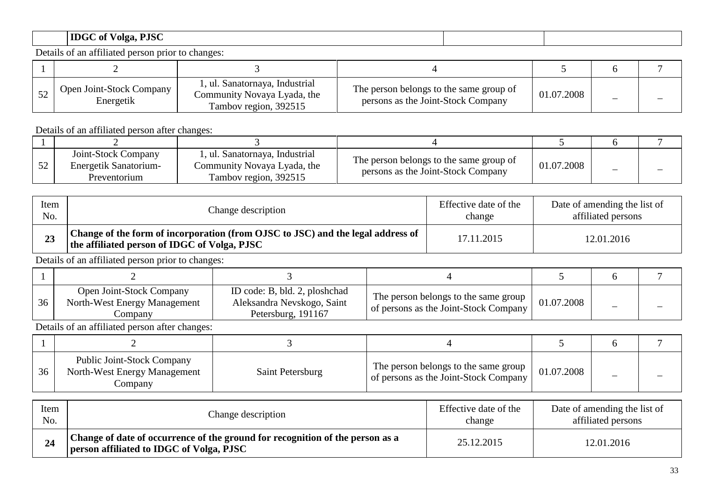# **IDGC of Volga, PJSC**

Details of an affiliated person prior to changes:

| <b>Open Joint-Stock Company</b><br>Energetik | 1, ul. Sanatornaya, Industrial<br>Community Novaya Lyada, the<br>Tambov region, 392515 | The person belongs to the same group of<br>persons as the Joint-Stock Company | 01.07.2008 |  |
|----------------------------------------------|----------------------------------------------------------------------------------------|-------------------------------------------------------------------------------|------------|--|

Details of an affiliated person after changes:

| Joint-Stock Company<br>Energetik Sanatorium-<br>Preventorium | ', ul. Sanatornaya, Industrial<br>Community Novaya Lyada, the<br>Tambov region, 392515 | The person belongs to the same group of<br>persons as the Joint-Stock Company | 01.07.2008 |  |
|--------------------------------------------------------------|----------------------------------------------------------------------------------------|-------------------------------------------------------------------------------|------------|--|

| Item | Change description                                                                                                              | Effective date of the | Date of amending the list of |
|------|---------------------------------------------------------------------------------------------------------------------------------|-----------------------|------------------------------|
| No.  |                                                                                                                                 | change                | affiliated persons           |
|      | Change of the form of incorporation (from OJSC to JSC) and the legal address of<br>the affiliated person of IDGC of Volga, PJSC | 17.11.2015            | 12.01.2016                   |

Details of an affiliated person prior to changes:

| 36 | <b>Open Joint-Stock Company</b><br>North-West Energy Management<br>Company | ID code: B, bld. 2, ploshchad<br>Aleksandra Nevskogo, Saint<br>Petersburg, 191167 | The person belongs to the same group<br>of persons as the Joint-Stock Company | 01.07.2008 |  |
|----|----------------------------------------------------------------------------|-----------------------------------------------------------------------------------|-------------------------------------------------------------------------------|------------|--|

| 36 | <b>Public Joint-Stock Company</b><br>North-West Energy Management<br>Company | Saint Petersburg | The person belongs to the same group<br>of persons as the Joint-Stock Company | 01.07.2008 |  |
|----|------------------------------------------------------------------------------|------------------|-------------------------------------------------------------------------------|------------|--|

| Item | Change description                                                                                                                     | Effective date of the | Date of amending the list of |
|------|----------------------------------------------------------------------------------------------------------------------------------------|-----------------------|------------------------------|
| No.  |                                                                                                                                        | change                | affiliated persons           |
| 24   | <sup>1</sup> Change of date of occurrence of the ground for recognition of the person as a<br>person affiliated to IDGC of Volga, PJSC | 25.12.2015            | 12.01.2016                   |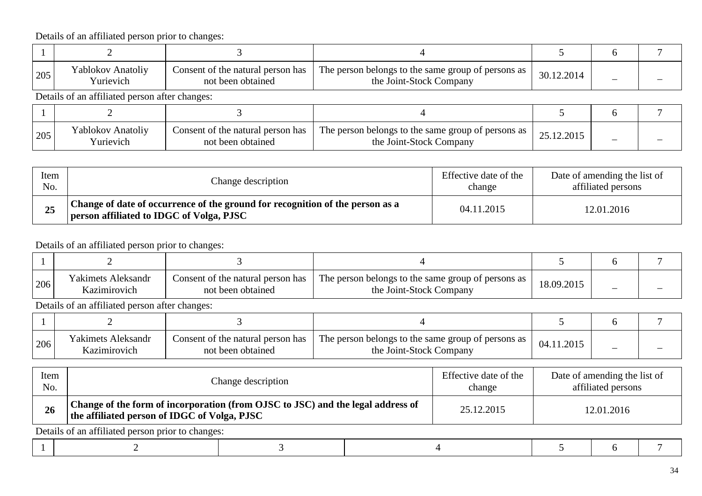| 205 | Yablokov Anatoliy<br>Yurievich                 | Consent of the natural person has<br>not been obtained | The person belongs to the same group of persons as<br>30.12.2014<br>the Joint-Stock Company |            |  |
|-----|------------------------------------------------|--------------------------------------------------------|---------------------------------------------------------------------------------------------|------------|--|
|     | Details of an affiliated person after changes: |                                                        |                                                                                             |            |  |
|     |                                                |                                                        |                                                                                             |            |  |
| 205 | Yablokov Anatoliy<br>Yurievich                 | Consent of the natural person has<br>not been obtained | The person belongs to the same group of persons as<br>the Joint-Stock Company               | 25.12.2015 |  |

| Item | Change description                                                                                                        | Effective date of the | Date of amending the list of |
|------|---------------------------------------------------------------------------------------------------------------------------|-----------------------|------------------------------|
| No.  |                                                                                                                           | change                | affiliated persons           |
| 25   | Change of date of occurrence of the ground for recognition of the person as a<br>person affiliated to IDGC of Volga, PJSC | 04.11.2015            | 12.01.2016                   |

Details of an affiliated person prior to changes:

| 206 | <b>Yakimets Aleksandr</b><br>Kazımırovıch | Consent of the natural person has<br>not been obtained | The person belongs to the same group of persons as 1<br>the Joint-Stock Company | 18.09.2015 |  |
|-----|-------------------------------------------|--------------------------------------------------------|---------------------------------------------------------------------------------|------------|--|

| 206 | <b>Yakimets Aleksandr</b><br>Kazımırovich | Consent of the natural person has<br>not been obtained | The person belongs to the same group of persons as 1<br>the Joint-Stock Company | 04.11.2015 | - |  |
|-----|-------------------------------------------|--------------------------------------------------------|---------------------------------------------------------------------------------|------------|---|--|

| Item<br>No. | Change description                                                                                                              |  | Effective date of the<br>change | Date of amending the list of<br>affiliated persons |            |  |  |  |  |
|-------------|---------------------------------------------------------------------------------------------------------------------------------|--|---------------------------------|----------------------------------------------------|------------|--|--|--|--|
| 26          | Change of the form of incorporation (from OJSC to JSC) and the legal address of<br>the affiliated person of IDGC of Volga, PJSC |  | 25.12.2015                      |                                                    | 12.01.2016 |  |  |  |  |
|             | Details of an affiliated person prior to changes:                                                                               |  |                                 |                                                    |            |  |  |  |  |
|             |                                                                                                                                 |  |                                 |                                                    |            |  |  |  |  |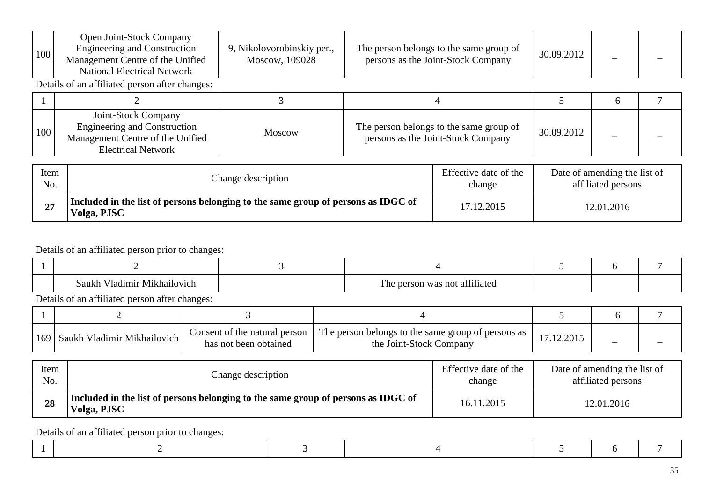| 100         | Open Joint-Stock Company<br><b>Engineering and Construction</b><br>Management Centre of the Unified<br><b>National Electrical Network</b> | 9, Nikolovorobinskiy per.,<br>Moscow, 109028 |  | The person belongs to the same group of<br>persons as the Joint-Stock Company | 30.09.2012                                         |   |  |  |  |  |
|-------------|-------------------------------------------------------------------------------------------------------------------------------------------|----------------------------------------------|--|-------------------------------------------------------------------------------|----------------------------------------------------|---|--|--|--|--|
|             | Details of an affiliated person after changes:                                                                                            |                                              |  |                                                                               |                                                    |   |  |  |  |  |
|             |                                                                                                                                           | 3                                            |  | 4                                                                             |                                                    | 6 |  |  |  |  |
| 100         | Joint-Stock Company<br><b>Engineering and Construction</b><br>Management Centre of the Unified<br><b>Electrical Network</b>               | <b>Moscow</b>                                |  | The person belongs to the same group of<br>persons as the Joint-Stock Company | 30.09.2012                                         |   |  |  |  |  |
| Item<br>No. | Change description                                                                                                                        |                                              |  | Effective date of the<br>change                                               | Date of amending the list of<br>affiliated persons |   |  |  |  |  |
| 27          | Included in the list of persons belonging to the same group of persons as IDGC of<br>Volga, PJSC                                          |                                              |  | 17.12.2015                                                                    | 12.01.2016                                         |   |  |  |  |  |

| Tadimir Mikhailovich<br>Saukh | .<br>m<br>person was not affiliated<br>1 <sub>he</sub> |  |  |
|-------------------------------|--------------------------------------------------------|--|--|

Details of an affiliated person after changes:

| [169] Saukh Vladimir Mikhailovich | Consent of the natural person<br>has not been obtained | $\perp$ The person belongs to the same group of persons as $\perp$<br>the Joint-Stock Company |  |  |
|-----------------------------------|--------------------------------------------------------|-----------------------------------------------------------------------------------------------|--|--|

| Item | Change description                                                                               | Effective date of the | Date of amending the list of |
|------|--------------------------------------------------------------------------------------------------|-----------------------|------------------------------|
| No.  |                                                                                                  | change                | affiliated persons           |
| 28   | Included in the list of persons belonging to the same group of persons as IDGC of<br>Volga, PJSC | 16.11.2015            | 12.01.2016                   |

Details of an affiliated person prior to changes:

|--|--|--|--|--|--|--|